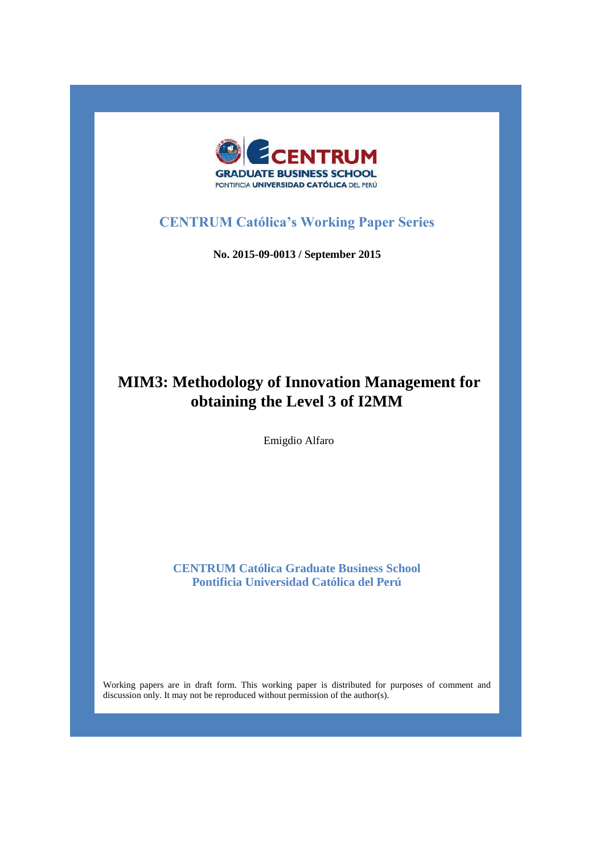

### **CENTRUM Católica's Working Paper Series**

**No. 2015-09-0013 / September 2015**

# **MIM3: Methodology of Innovation Management for obtaining the Level 3 of I2MM**

Emigdio Alfaro

**CENTRUM Católica Graduate Business School Pontificia Universidad Católica del Perú**

Working papers are in draft form. This working paper is distributed for purposes of comment and discussion only. It may not be reproduced without permission of the author(s).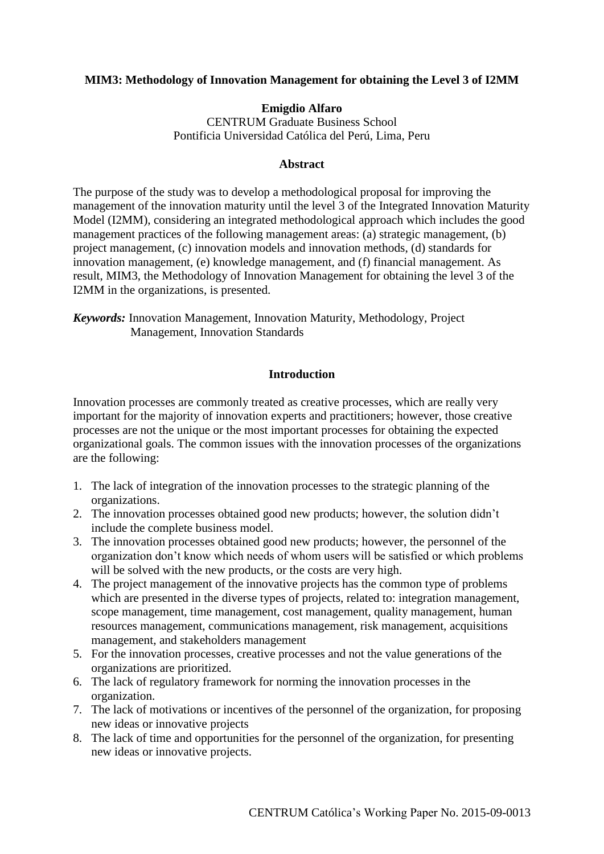#### **MIM3: Methodology of Innovation Management for obtaining the Level 3 of I2MM**

#### **Emigdio Alfaro**

CENTRUM Graduate Business School Pontificia Universidad Católica del Perú, Lima, Peru

#### **Abstract**

The purpose of the study was to develop a methodological proposal for improving the management of the innovation maturity until the level 3 of the Integrated Innovation Maturity Model (I2MM), considering an integrated methodological approach which includes the good management practices of the following management areas: (a) strategic management, (b) project management, (c) innovation models and innovation methods, (d) standards for innovation management, (e) knowledge management, and (f) financial management. As result, MIM3, the Methodology of Innovation Management for obtaining the level 3 of the I2MM in the organizations, is presented.

*Keywords:* Innovation Management, Innovation Maturity, Methodology, Project Management, Innovation Standards

#### **Introduction**

Innovation processes are commonly treated as creative processes, which are really very important for the majority of innovation experts and practitioners; however, those creative processes are not the unique or the most important processes for obtaining the expected organizational goals. The common issues with the innovation processes of the organizations are the following:

- 1. The lack of integration of the innovation processes to the strategic planning of the organizations.
- 2. The innovation processes obtained good new products; however, the solution didn't include the complete business model.
- 3. The innovation processes obtained good new products; however, the personnel of the organization don't know which needs of whom users will be satisfied or which problems will be solved with the new products, or the costs are very high.
- 4. The project management of the innovative projects has the common type of problems which are presented in the diverse types of projects, related to: integration management, scope management, time management, cost management, quality management, human resources management, communications management, risk management, acquisitions management, and stakeholders management
- 5. For the innovation processes, creative processes and not the value generations of the organizations are prioritized.
- 6. The lack of regulatory framework for norming the innovation processes in the organization.
- 7. The lack of motivations or incentives of the personnel of the organization, for proposing new ideas or innovative projects
- 8. The lack of time and opportunities for the personnel of the organization, for presenting new ideas or innovative projects.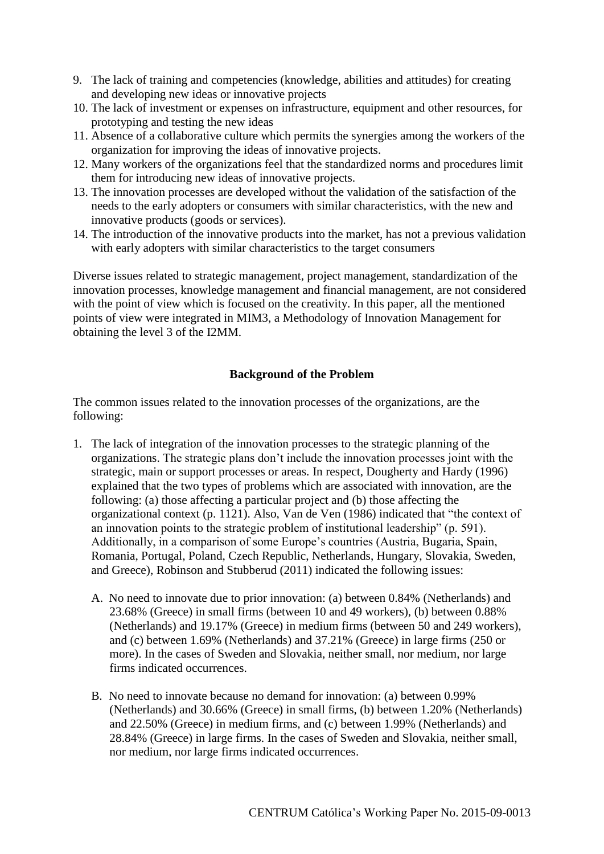- 9. The lack of training and competencies (knowledge, abilities and attitudes) for creating and developing new ideas or innovative projects
- 10. The lack of investment or expenses on infrastructure, equipment and other resources, for prototyping and testing the new ideas
- 11. Absence of a collaborative culture which permits the synergies among the workers of the organization for improving the ideas of innovative projects.
- 12. Many workers of the organizations feel that the standardized norms and procedures limit them for introducing new ideas of innovative projects.
- 13. The innovation processes are developed without the validation of the satisfaction of the needs to the early adopters or consumers with similar characteristics, with the new and innovative products (goods or services).
- 14. The introduction of the innovative products into the market, has not a previous validation with early adopters with similar characteristics to the target consumers

Diverse issues related to strategic management, project management, standardization of the innovation processes, knowledge management and financial management, are not considered with the point of view which is focused on the creativity. In this paper, all the mentioned points of view were integrated in MIM3, a Methodology of Innovation Management for obtaining the level 3 of the I2MM.

#### **Background of the Problem**

The common issues related to the innovation processes of the organizations, are the following:

- 1. The lack of integration of the innovation processes to the strategic planning of the organizations. The strategic plans don't include the innovation processes joint with the strategic, main or support processes or areas. In respect, Dougherty and Hardy (1996) explained that the two types of problems which are associated with innovation, are the following: (a) those affecting a particular project and (b) those affecting the organizational context (p. 1121). Also, Van de Ven (1986) indicated that "the context of an innovation points to the strategic problem of institutional leadership" (p. 591). Additionally, in a comparison of some Europe's countries (Austria, Bugaria, Spain, Romania, Portugal, Poland, Czech Republic, Netherlands, Hungary, Slovakia, Sweden, and Greece), Robinson and Stubberud (2011) indicated the following issues:
	- A. No need to innovate due to prior innovation: (a) between 0.84% (Netherlands) and 23.68% (Greece) in small firms (between 10 and 49 workers), (b) between 0.88% (Netherlands) and 19.17% (Greece) in medium firms (between 50 and 249 workers), and (c) between 1.69% (Netherlands) and 37.21% (Greece) in large firms (250 or more). In the cases of Sweden and Slovakia, neither small, nor medium, nor large firms indicated occurrences.
	- B. No need to innovate because no demand for innovation: (a) between 0.99% (Netherlands) and 30.66% (Greece) in small firms, (b) between 1.20% (Netherlands) and 22.50% (Greece) in medium firms, and (c) between 1.99% (Netherlands) and 28.84% (Greece) in large firms. In the cases of Sweden and Slovakia, neither small, nor medium, nor large firms indicated occurrences.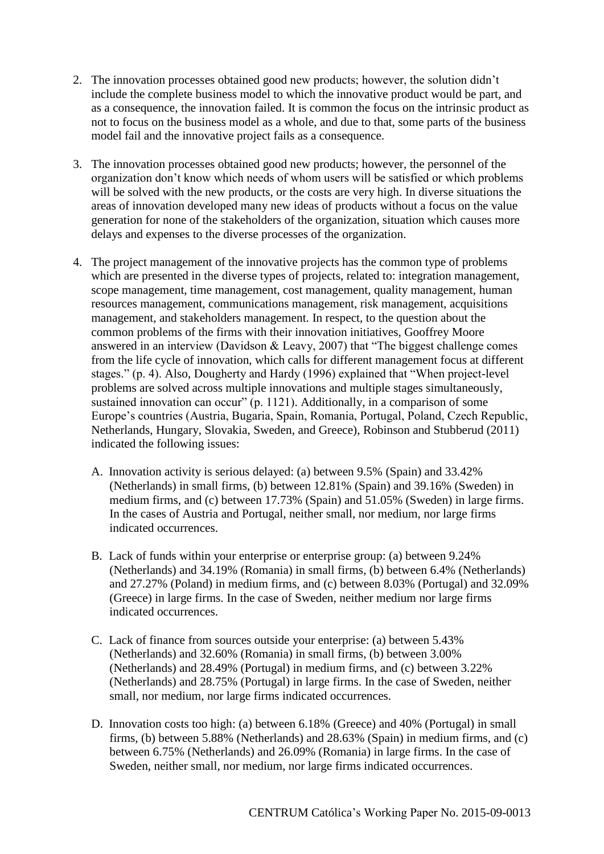- 2. The innovation processes obtained good new products; however, the solution didn't include the complete business model to which the innovative product would be part, and as a consequence, the innovation failed. It is common the focus on the intrinsic product as not to focus on the business model as a whole, and due to that, some parts of the business model fail and the innovative project fails as a consequence.
- 3. The innovation processes obtained good new products; however, the personnel of the organization don't know which needs of whom users will be satisfied or which problems will be solved with the new products, or the costs are very high. In diverse situations the areas of innovation developed many new ideas of products without a focus on the value generation for none of the stakeholders of the organization, situation which causes more delays and expenses to the diverse processes of the organization.
- 4. The project management of the innovative projects has the common type of problems which are presented in the diverse types of projects, related to: integration management, scope management, time management, cost management, quality management, human resources management, communications management, risk management, acquisitions management, and stakeholders management. In respect, to the question about the common problems of the firms with their innovation initiatives, Gooffrey Moore answered in an interview (Davidson & Leavy, 2007) that "The biggest challenge comes from the life cycle of innovation, which calls for different management focus at different stages." (p. 4). Also, Dougherty and Hardy (1996) explained that "When project-level problems are solved across multiple innovations and multiple stages simultaneously, sustained innovation can occur" (p. 1121). Additionally, in a comparison of some Europe's countries (Austria, Bugaria, Spain, Romania, Portugal, Poland, Czech Republic, Netherlands, Hungary, Slovakia, Sweden, and Greece), Robinson and Stubberud (2011) indicated the following issues:
	- A. Innovation activity is serious delayed: (a) between 9.5% (Spain) and 33.42% (Netherlands) in small firms, (b) between 12.81% (Spain) and 39.16% (Sweden) in medium firms, and (c) between 17.73% (Spain) and 51.05% (Sweden) in large firms. In the cases of Austria and Portugal, neither small, nor medium, nor large firms indicated occurrences.
	- B. Lack of funds within your enterprise or enterprise group: (a) between 9.24% (Netherlands) and 34.19% (Romania) in small firms, (b) between 6.4% (Netherlands) and 27.27% (Poland) in medium firms, and (c) between 8.03% (Portugal) and 32.09% (Greece) in large firms. In the case of Sweden, neither medium nor large firms indicated occurrences.
	- C. Lack of finance from sources outside your enterprise: (a) between 5.43% (Netherlands) and 32.60% (Romania) in small firms, (b) between 3.00% (Netherlands) and 28.49% (Portugal) in medium firms, and (c) between 3.22% (Netherlands) and 28.75% (Portugal) in large firms. In the case of Sweden, neither small, nor medium, nor large firms indicated occurrences.
	- D. Innovation costs too high: (a) between 6.18% (Greece) and 40% (Portugal) in small firms, (b) between 5.88% (Netherlands) and 28.63% (Spain) in medium firms, and (c) between 6.75% (Netherlands) and 26.09% (Romania) in large firms. In the case of Sweden, neither small, nor medium, nor large firms indicated occurrences.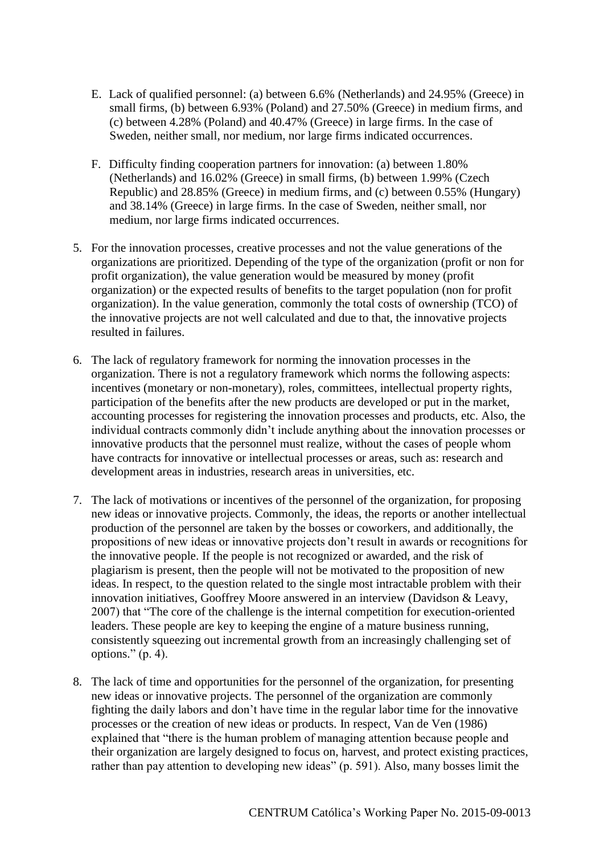- E. Lack of qualified personnel: (a) between 6.6% (Netherlands) and 24.95% (Greece) in small firms, (b) between 6.93% (Poland) and 27.50% (Greece) in medium firms, and (c) between 4.28% (Poland) and 40.47% (Greece) in large firms. In the case of Sweden, neither small, nor medium, nor large firms indicated occurrences.
- F. Difficulty finding cooperation partners for innovation: (a) between 1.80% (Netherlands) and 16.02% (Greece) in small firms, (b) between 1.99% (Czech Republic) and 28.85% (Greece) in medium firms, and (c) between 0.55% (Hungary) and 38.14% (Greece) in large firms. In the case of Sweden, neither small, nor medium, nor large firms indicated occurrences.
- 5. For the innovation processes, creative processes and not the value generations of the organizations are prioritized. Depending of the type of the organization (profit or non for profit organization), the value generation would be measured by money (profit organization) or the expected results of benefits to the target population (non for profit organization). In the value generation, commonly the total costs of ownership (TCO) of the innovative projects are not well calculated and due to that, the innovative projects resulted in failures.
- 6. The lack of regulatory framework for norming the innovation processes in the organization. There is not a regulatory framework which norms the following aspects: incentives (monetary or non-monetary), roles, committees, intellectual property rights, participation of the benefits after the new products are developed or put in the market, accounting processes for registering the innovation processes and products, etc. Also, the individual contracts commonly didn't include anything about the innovation processes or innovative products that the personnel must realize, without the cases of people whom have contracts for innovative or intellectual processes or areas, such as: research and development areas in industries, research areas in universities, etc.
- 7. The lack of motivations or incentives of the personnel of the organization, for proposing new ideas or innovative projects. Commonly, the ideas, the reports or another intellectual production of the personnel are taken by the bosses or coworkers, and additionally, the propositions of new ideas or innovative projects don't result in awards or recognitions for the innovative people. If the people is not recognized or awarded, and the risk of plagiarism is present, then the people will not be motivated to the proposition of new ideas. In respect, to the question related to the single most intractable problem with their innovation initiatives, Gooffrey Moore answered in an interview (Davidson & Leavy, 2007) that "The core of the challenge is the internal competition for execution-oriented leaders. These people are key to keeping the engine of a mature business running, consistently squeezing out incremental growth from an increasingly challenging set of options."  $(p. 4)$ .
- 8. The lack of time and opportunities for the personnel of the organization, for presenting new ideas or innovative projects. The personnel of the organization are commonly fighting the daily labors and don't have time in the regular labor time for the innovative processes or the creation of new ideas or products. In respect, Van de Ven (1986) explained that "there is the human problem of managing attention because people and their organization are largely designed to focus on, harvest, and protect existing practices, rather than pay attention to developing new ideas" (p. 591). Also, many bosses limit the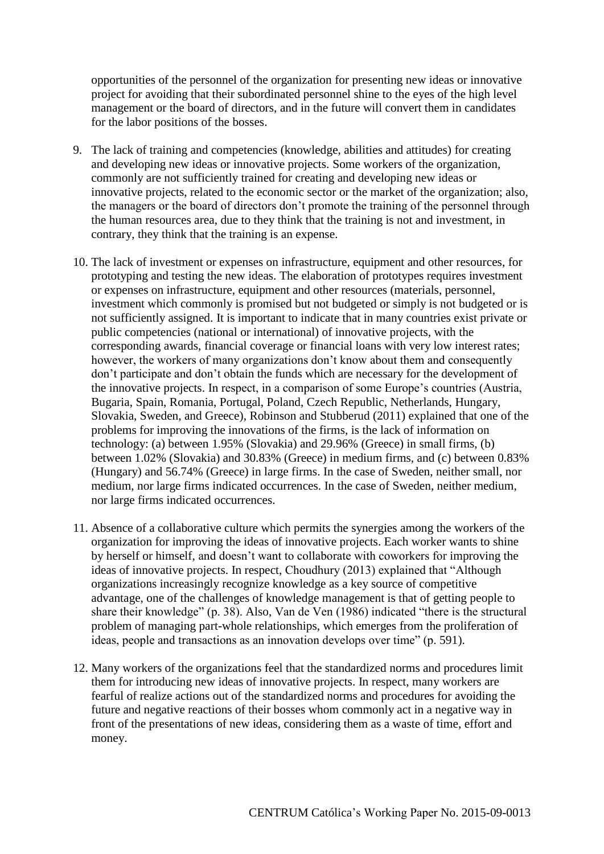opportunities of the personnel of the organization for presenting new ideas or innovative project for avoiding that their subordinated personnel shine to the eyes of the high level management or the board of directors, and in the future will convert them in candidates for the labor positions of the bosses.

- 9. The lack of training and competencies (knowledge, abilities and attitudes) for creating and developing new ideas or innovative projects. Some workers of the organization, commonly are not sufficiently trained for creating and developing new ideas or innovative projects, related to the economic sector or the market of the organization; also, the managers or the board of directors don't promote the training of the personnel through the human resources area, due to they think that the training is not and investment, in contrary, they think that the training is an expense.
- 10. The lack of investment or expenses on infrastructure, equipment and other resources, for prototyping and testing the new ideas. The elaboration of prototypes requires investment or expenses on infrastructure, equipment and other resources (materials, personnel, investment which commonly is promised but not budgeted or simply is not budgeted or is not sufficiently assigned. It is important to indicate that in many countries exist private or public competencies (national or international) of innovative projects, with the corresponding awards, financial coverage or financial loans with very low interest rates; however, the workers of many organizations don't know about them and consequently don't participate and don't obtain the funds which are necessary for the development of the innovative projects. In respect, in a comparison of some Europe's countries (Austria, Bugaria, Spain, Romania, Portugal, Poland, Czech Republic, Netherlands, Hungary, Slovakia, Sweden, and Greece), Robinson and Stubberud (2011) explained that one of the problems for improving the innovations of the firms, is the lack of information on technology: (a) between 1.95% (Slovakia) and 29.96% (Greece) in small firms, (b) between 1.02% (Slovakia) and 30.83% (Greece) in medium firms, and (c) between 0.83% (Hungary) and 56.74% (Greece) in large firms. In the case of Sweden, neither small, nor medium, nor large firms indicated occurrences. In the case of Sweden, neither medium, nor large firms indicated occurrences.
- 11. Absence of a collaborative culture which permits the synergies among the workers of the organization for improving the ideas of innovative projects. Each worker wants to shine by herself or himself, and doesn't want to collaborate with coworkers for improving the ideas of innovative projects. In respect, Choudhury (2013) explained that "Although organizations increasingly recognize knowledge as a key source of competitive advantage, one of the challenges of knowledge management is that of getting people to share their knowledge" (p. 38). Also, Van de Ven (1986) indicated "there is the structural problem of managing part-whole relationships, which emerges from the proliferation of ideas, people and transactions as an innovation develops over time" (p. 591).
- 12. Many workers of the organizations feel that the standardized norms and procedures limit them for introducing new ideas of innovative projects. In respect, many workers are fearful of realize actions out of the standardized norms and procedures for avoiding the future and negative reactions of their bosses whom commonly act in a negative way in front of the presentations of new ideas, considering them as a waste of time, effort and money.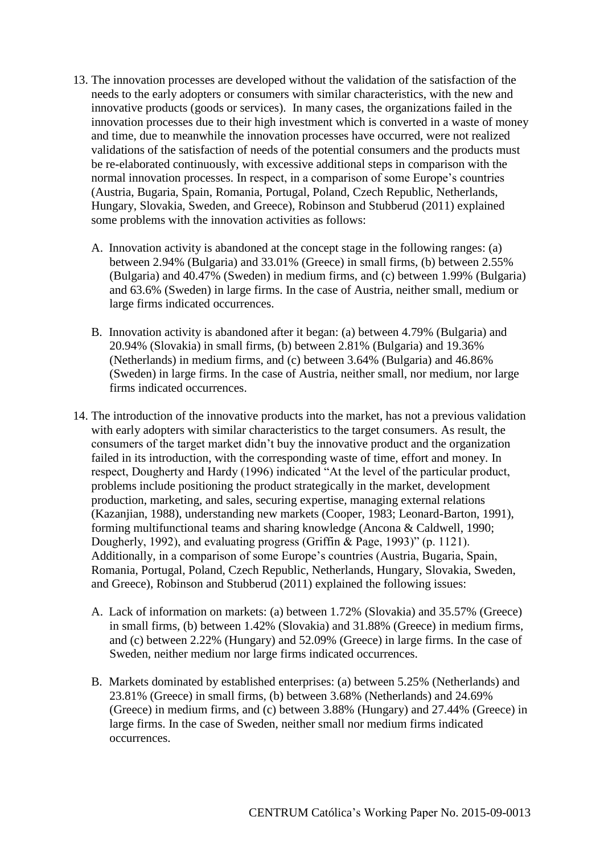- 13. The innovation processes are developed without the validation of the satisfaction of the needs to the early adopters or consumers with similar characteristics, with the new and innovative products (goods or services). In many cases, the organizations failed in the innovation processes due to their high investment which is converted in a waste of money and time, due to meanwhile the innovation processes have occurred, were not realized validations of the satisfaction of needs of the potential consumers and the products must be re-elaborated continuously, with excessive additional steps in comparison with the normal innovation processes. In respect, in a comparison of some Europe's countries (Austria, Bugaria, Spain, Romania, Portugal, Poland, Czech Republic, Netherlands, Hungary, Slovakia, Sweden, and Greece), Robinson and Stubberud (2011) explained some problems with the innovation activities as follows:
	- A. Innovation activity is abandoned at the concept stage in the following ranges: (a) between 2.94% (Bulgaria) and 33.01% (Greece) in small firms, (b) between 2.55% (Bulgaria) and 40.47% (Sweden) in medium firms, and (c) between 1.99% (Bulgaria) and 63.6% (Sweden) in large firms. In the case of Austria, neither small, medium or large firms indicated occurrences.
	- B. Innovation activity is abandoned after it began: (a) between 4.79% (Bulgaria) and 20.94% (Slovakia) in small firms, (b) between 2.81% (Bulgaria) and 19.36% (Netherlands) in medium firms, and (c) between 3.64% (Bulgaria) and 46.86% (Sweden) in large firms. In the case of Austria, neither small, nor medium, nor large firms indicated occurrences.
- 14. The introduction of the innovative products into the market, has not a previous validation with early adopters with similar characteristics to the target consumers. As result, the consumers of the target market didn't buy the innovative product and the organization failed in its introduction, with the corresponding waste of time, effort and money. In respect, Dougherty and Hardy (1996) indicated "At the level of the particular product, problems include positioning the product strategically in the market, development production, marketing, and sales, securing expertise, managing external relations (Kazanjian, 1988), understanding new markets (Cooper, 1983; Leonard-Barton, 1991), forming multifunctional teams and sharing knowledge (Ancona & Caldwell, 1990; Dougherly, 1992), and evaluating progress (Griffin & Page, 1993)" (p. 1121). Additionally, in a comparison of some Europe's countries (Austria, Bugaria, Spain, Romania, Portugal, Poland, Czech Republic, Netherlands, Hungary, Slovakia, Sweden, and Greece), Robinson and Stubberud (2011) explained the following issues:
	- A. Lack of information on markets: (a) between 1.72% (Slovakia) and 35.57% (Greece) in small firms, (b) between 1.42% (Slovakia) and 31.88% (Greece) in medium firms, and (c) between 2.22% (Hungary) and 52.09% (Greece) in large firms. In the case of Sweden, neither medium nor large firms indicated occurrences.
	- B. Markets dominated by established enterprises: (a) between 5.25% (Netherlands) and 23.81% (Greece) in small firms, (b) between 3.68% (Netherlands) and 24.69% (Greece) in medium firms, and (c) between 3.88% (Hungary) and 27.44% (Greece) in large firms. In the case of Sweden, neither small nor medium firms indicated occurrences.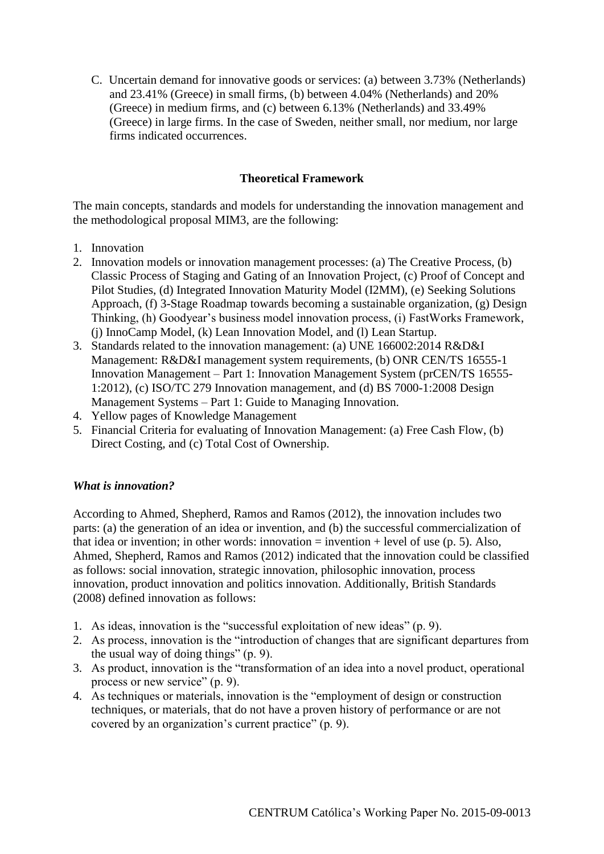C. Uncertain demand for innovative goods or services: (a) between 3.73% (Netherlands) and 23.41% (Greece) in small firms, (b) between 4.04% (Netherlands) and 20% (Greece) in medium firms, and (c) between 6.13% (Netherlands) and 33.49% (Greece) in large firms. In the case of Sweden, neither small, nor medium, nor large firms indicated occurrences.

#### **Theoretical Framework**

The main concepts, standards and models for understanding the innovation management and the methodological proposal MIM3, are the following:

- 1. Innovation
- 2. Innovation models or innovation management processes: (a) The Creative Process, (b) Classic Process of Staging and Gating of an Innovation Project, (c) Proof of Concept and Pilot Studies, (d) Integrated Innovation Maturity Model (I2MM), (e) Seeking Solutions Approach, (f) 3-Stage Roadmap towards becoming a sustainable organization, (g) Design Thinking, (h) Goodyear's business model innovation process, (i) FastWorks Framework, (j) InnoCamp Model, (k) Lean Innovation Model, and (l) Lean Startup.
- 3. Standards related to the innovation management: (a) UNE 166002:2014 R&D&I Management: R&D&I management system requirements, (b) ONR CEN/TS 16555-1 Innovation Management – Part 1: Innovation Management System (prCEN/TS 16555- 1:2012), (c) ISO/TC 279 Innovation management, and (d) BS 7000-1:2008 Design Management Systems – Part 1: Guide to Managing Innovation.
- 4. Yellow pages of Knowledge Management
- 5. Financial Criteria for evaluating of Innovation Management: (a) Free Cash Flow, (b) Direct Costing, and (c) Total Cost of Ownership.

#### *What is innovation?*

According to Ahmed, Shepherd, Ramos and Ramos (2012), the innovation includes two parts: (a) the generation of an idea or invention, and (b) the successful commercialization of that idea or invention; in other words: innovation = invention + level of use  $(p, 5)$ . Also, Ahmed, Shepherd, Ramos and Ramos (2012) indicated that the innovation could be classified as follows: social innovation, strategic innovation, philosophic innovation, process innovation, product innovation and politics innovation. Additionally, British Standards (2008) defined innovation as follows:

- 1. As ideas, innovation is the "successful exploitation of new ideas" (p. 9).
- 2. As process, innovation is the "introduction of changes that are significant departures from the usual way of doing things" (p. 9).
- 3. As product, innovation is the "transformation of an idea into a novel product, operational process or new service" (p. 9).
- 4. As techniques or materials, innovation is the "employment of design or construction techniques, or materials, that do not have a proven history of performance or are not covered by an organization's current practice" (p. 9).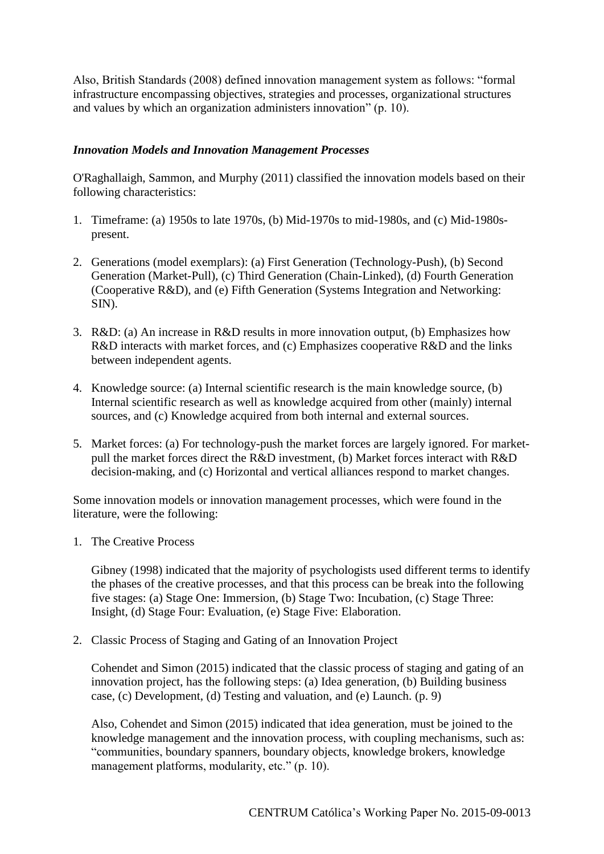Also, British Standards (2008) defined innovation management system as follows: "formal infrastructure encompassing objectives, strategies and processes, organizational structures and values by which an organization administers innovation" (p. 10).

#### *Innovation Models and Innovation Management Processes*

O'Raghallaigh, Sammon, and Murphy (2011) classified the innovation models based on their following characteristics:

- 1. Timeframe: (a) 1950s to late 1970s, (b) Mid-1970s to mid-1980s, and (c) Mid-1980spresent.
- 2. Generations (model exemplars): (a) First Generation (Technology-Push), (b) Second Generation (Market-Pull), (c) Third Generation (Chain-Linked), (d) Fourth Generation (Cooperative R&D), and (e) Fifth Generation (Systems Integration and Networking: SIN).
- 3. R&D: (a) An increase in R&D results in more innovation output, (b) Emphasizes how R&D interacts with market forces, and (c) Emphasizes cooperative R&D and the links between independent agents.
- 4. Knowledge source: (a) Internal scientific research is the main knowledge source, (b) Internal scientific research as well as knowledge acquired from other (mainly) internal sources, and (c) Knowledge acquired from both internal and external sources.
- 5. Market forces: (a) For technology-push the market forces are largely ignored. For marketpull the market forces direct the R&D investment, (b) Market forces interact with R&D decision-making, and (c) Horizontal and vertical alliances respond to market changes.

Some innovation models or innovation management processes, which were found in the literature, were the following:

1. The Creative Process

Gibney (1998) indicated that the majority of psychologists used different terms to identify the phases of the creative processes, and that this process can be break into the following five stages: (a) Stage One: Immersion, (b) Stage Two: Incubation, (c) Stage Three: Insight, (d) Stage Four: Evaluation, (e) Stage Five: Elaboration.

2. Classic Process of Staging and Gating of an Innovation Project

Cohendet and Simon (2015) indicated that the classic process of staging and gating of an innovation project, has the following steps: (a) Idea generation, (b) Building business case, (c) Development, (d) Testing and valuation, and (e) Launch. (p. 9)

Also, Cohendet and Simon (2015) indicated that idea generation, must be joined to the knowledge management and the innovation process, with coupling mechanisms, such as: "communities, boundary spanners, boundary objects, knowledge brokers, knowledge management platforms, modularity, etc." (p. 10).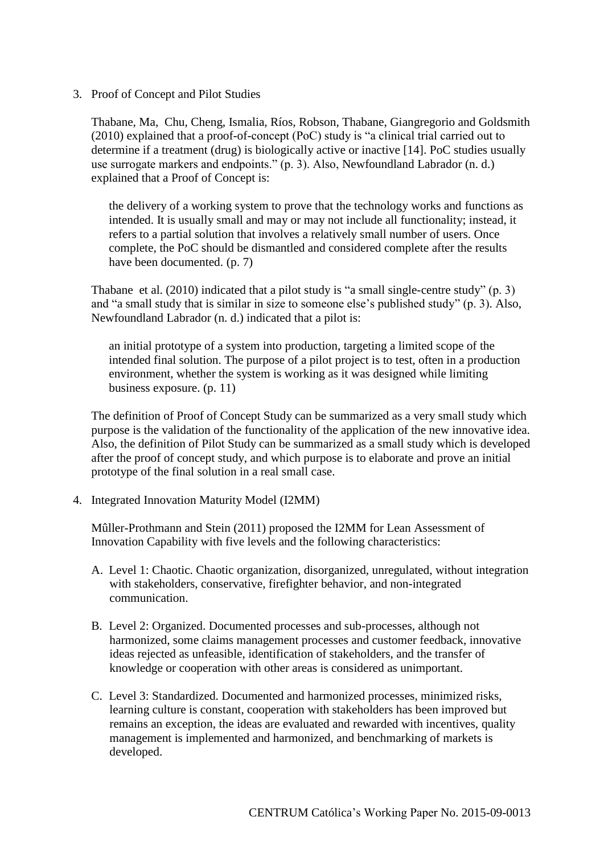3. Proof of Concept and Pilot Studies

Thabane, Ma, Chu, Cheng, Ismalia, Ríos, Robson, Thabane, Giangregorio and Goldsmith (2010) explained that a proof-of-concept (PoC) study is "a clinical trial carried out to determine if a treatment (drug) is biologically active or inactive [14]. PoC studies usually use surrogate markers and endpoints." (p. 3). Also, Newfoundland Labrador (n. d.) explained that a Proof of Concept is:

the delivery of a working system to prove that the technology works and functions as intended. It is usually small and may or may not include all functionality; instead, it refers to a partial solution that involves a relatively small number of users. Once complete, the PoC should be dismantled and considered complete after the results have been documented. (p. 7)

Thabane et al. (2010) indicated that a pilot study is "a small single-centre study" (p. 3) and "a small study that is similar in size to someone else's published study" (p. 3). Also, Newfoundland Labrador (n. d.) indicated that a pilot is:

an initial prototype of a system into production, targeting a limited scope of the intended final solution. The purpose of a pilot project is to test, often in a production environment, whether the system is working as it was designed while limiting business exposure. (p. 11)

The definition of Proof of Concept Study can be summarized as a very small study which purpose is the validation of the functionality of the application of the new innovative idea. Also, the definition of Pilot Study can be summarized as a small study which is developed after the proof of concept study, and which purpose is to elaborate and prove an initial prototype of the final solution in a real small case.

4. Integrated Innovation Maturity Model (I2MM)

Mûller-Prothmann and Stein (2011) proposed the I2MM for Lean Assessment of Innovation Capability with five levels and the following characteristics:

- A. Level 1: Chaotic. Chaotic organization, disorganized, unregulated, without integration with stakeholders, conservative, firefighter behavior, and non-integrated communication.
- B. Level 2: Organized. Documented processes and sub-processes, although not harmonized, some claims management processes and customer feedback, innovative ideas rejected as unfeasible, identification of stakeholders, and the transfer of knowledge or cooperation with other areas is considered as unimportant.
- C. Level 3: Standardized. Documented and harmonized processes, minimized risks, learning culture is constant, cooperation with stakeholders has been improved but remains an exception, the ideas are evaluated and rewarded with incentives, quality management is implemented and harmonized, and benchmarking of markets is developed.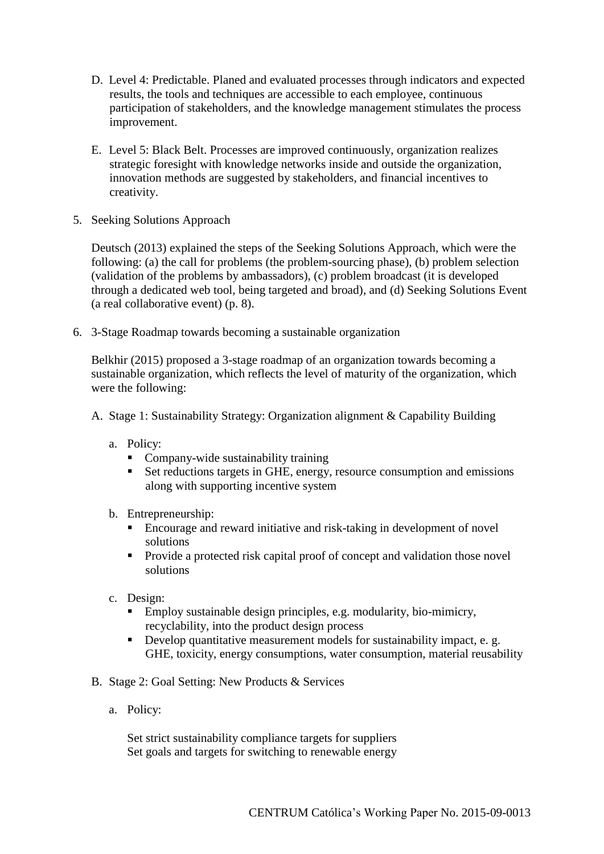- D. Level 4: Predictable. Planed and evaluated processes through indicators and expected results, the tools and techniques are accessible to each employee, continuous participation of stakeholders, and the knowledge management stimulates the process improvement.
- E. Level 5: Black Belt. Processes are improved continuously, organization realizes strategic foresight with knowledge networks inside and outside the organization, innovation methods are suggested by stakeholders, and financial incentives to creativity.
- 5. Seeking Solutions Approach

Deutsch (2013) explained the steps of the Seeking Solutions Approach, which were the following: (a) the call for problems (the problem-sourcing phase), (b) problem selection (validation of the problems by ambassadors), (c) problem broadcast (it is developed through a dedicated web tool, being targeted and broad), and (d) Seeking Solutions Event (a real collaborative event) (p. 8).

6. 3-Stage Roadmap towards becoming a sustainable organization

Belkhir (2015) proposed a 3-stage roadmap of an organization towards becoming a sustainable organization, which reflects the level of maturity of the organization, which were the following:

- A. Stage 1: Sustainability Strategy: Organization alignment & Capability Building
	- a. Policy:
		- Company-wide sustainability training
		- Set reductions targets in GHE, energy, resource consumption and emissions along with supporting incentive system
	- b. Entrepreneurship:
		- Encourage and reward initiative and risk-taking in development of novel solutions
		- Provide a protected risk capital proof of concept and validation those novel solutions
	- c. Design:
		- Employ sustainable design principles, e.g. modularity, bio-mimicry, recyclability, into the product design process
		- Develop quantitative measurement models for sustainability impact, e. g. GHE, toxicity, energy consumptions, water consumption, material reusability
- B. Stage 2: Goal Setting: New Products & Services
	- a. Policy:

Set strict sustainability compliance targets for suppliers Set goals and targets for switching to renewable energy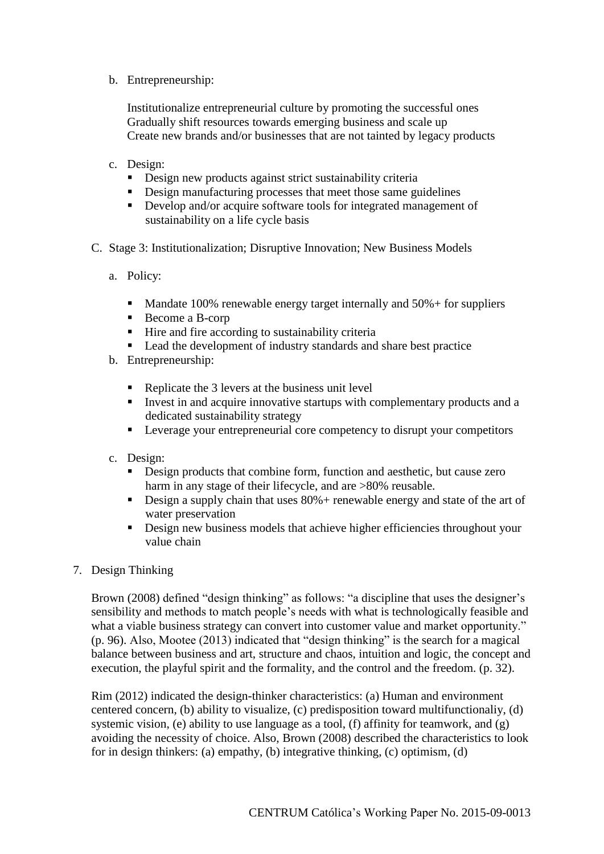b. Entrepreneurship:

Institutionalize entrepreneurial culture by promoting the successful ones Gradually shift resources towards emerging business and scale up Create new brands and/or businesses that are not tainted by legacy products

- c. Design:
	- Design new products against strict sustainability criteria
	- **Design manufacturing processes that meet those same guidelines**
	- Develop and/or acquire software tools for integrated management of sustainability on a life cycle basis
- C. Stage 3: Institutionalization; Disruptive Innovation; New Business Models
	- a. Policy:
		- Mandate 100% renewable energy target internally and  $50%$  + for suppliers
		- Become a B-corp
		- $\blacksquare$  Hire and fire according to sustainability criteria
		- Lead the development of industry standards and share best practice
	- b. Entrepreneurship:
		- Replicate the 3 levers at the business unit level
		- Invest in and acquire innovative startups with complementary products and a dedicated sustainability strategy
		- **EXECUTE:** Leverage your entrepreneurial core competency to disrupt your competitors
	- c. Design:
		- Design products that combine form, function and aesthetic, but cause zero harm in any stage of their lifecycle, and are >80% reusable.
		- Design a supply chain that uses  $80\%$  + renewable energy and state of the art of water preservation
		- Design new business models that achieve higher efficiencies throughout your value chain
- 7. Design Thinking

Brown (2008) defined "design thinking" as follows: "a discipline that uses the designer's sensibility and methods to match people's needs with what is technologically feasible and what a viable business strategy can convert into customer value and market opportunity." (p. 96). Also, Mootee (2013) indicated that "design thinking" is the search for a magical balance between business and art, structure and chaos, intuition and logic, the concept and execution, the playful spirit and the formality, and the control and the freedom. (p. 32).

Rim (2012) indicated the design-thinker characteristics: (a) Human and environment centered concern, (b) ability to visualize, (c) predisposition toward multifunctionaliy, (d) systemic vision, (e) ability to use language as a tool, (f) affinity for teamwork, and (g) avoiding the necessity of choice. Also, Brown (2008) described the characteristics to look for in design thinkers: (a) empathy, (b) integrative thinking, (c) optimism, (d)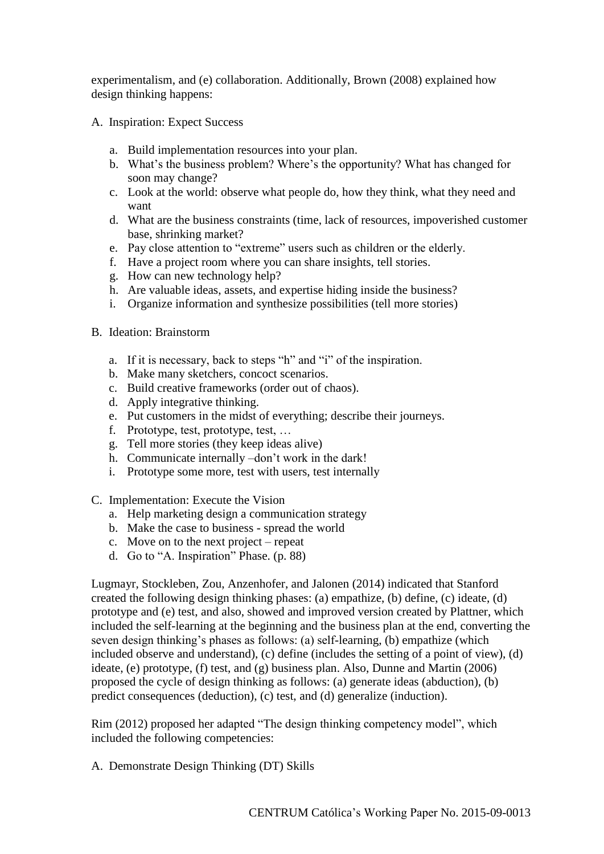experimentalism, and (e) collaboration. Additionally, Brown (2008) explained how design thinking happens:

- A. Inspiration: Expect Success
	- a. Build implementation resources into your plan.
	- b. What's the business problem? Where's the opportunity? What has changed for soon may change?
	- c. Look at the world: observe what people do, how they think, what they need and want
	- d. What are the business constraints (time, lack of resources, impoverished customer base, shrinking market?
	- e. Pay close attention to "extreme" users such as children or the elderly.
	- f. Have a project room where you can share insights, tell stories.
	- g. How can new technology help?
	- h. Are valuable ideas, assets, and expertise hiding inside the business?
	- i. Organize information and synthesize possibilities (tell more stories)
- B. Ideation: Brainstorm
	- a. If it is necessary, back to steps "h" and "i" of the inspiration.
	- b. Make many sketchers, concoct scenarios.
	- c. Build creative frameworks (order out of chaos).
	- d. Apply integrative thinking.
	- e. Put customers in the midst of everything; describe their journeys.
	- f. Prototype, test, prototype, test, …
	- g. Tell more stories (they keep ideas alive)
	- h. Communicate internally –don't work in the dark!
	- i. Prototype some more, test with users, test internally
- C. Implementation: Execute the Vision
	- a. Help marketing design a communication strategy
	- b. Make the case to business spread the world
	- c. Move on to the next project repeat
	- d. Go to "A. Inspiration" Phase. (p. 88)

Lugmayr, Stockleben, Zou, Anzenhofer, and Jalonen (2014) indicated that Stanford created the following design thinking phases: (a) empathize, (b) define, (c) ideate, (d) prototype and (e) test, and also, showed and improved version created by Plattner, which included the self-learning at the beginning and the business plan at the end, converting the seven design thinking's phases as follows: (a) self-learning, (b) empathize (which included observe and understand), (c) define (includes the setting of a point of view), (d) ideate, (e) prototype, (f) test, and (g) business plan. Also, Dunne and Martin (2006) proposed the cycle of design thinking as follows: (a) generate ideas (abduction), (b) predict consequences (deduction), (c) test, and (d) generalize (induction).

Rim (2012) proposed her adapted "The design thinking competency model", which included the following competencies:

A. Demonstrate Design Thinking (DT) Skills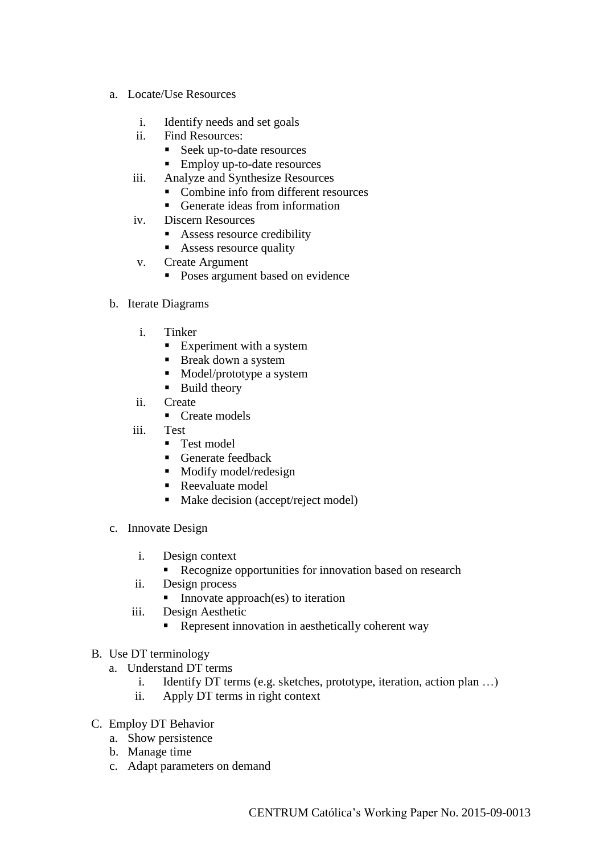- a. Locate/Use Resources
	- i. Identify needs and set goals
	- ii. Find Resources:
		- Seek up-to-date resources
		- Employ up-to-date resources
	- iii. Analyze and Synthesize Resources
		- Combine info from different resources
		- Generate ideas from information
	- iv. Discern Resources
		- **Assess resource credibility**
		- **Assess resource quality**
	- v. Create Argument
		- **Poses argument based on evidence**
- b. Iterate Diagrams
	- i. Tinker
		- **Experiment with a system**
		- Break down a system
		- Model/prototype a system
		- **Build theory**
	- ii. Create
		- Create models
	- iii. Test
		- **Test model**
		- Generate feedback
		- **Modify model/redesign**
		- Reevaluate model
		- Make decision (accept/reject model)
- c. Innovate Design
	- i. Design context
		- **Recognize opportunities for innovation based on research**
	- ii. Design process
		- $\blacksquare$  Innovate approach(es) to iteration
	- iii. Design Aesthetic
		- Represent innovation in aesthetically coherent way
- B. Use DT terminology
	- a. Understand DT terms
		- i. Identify DT terms (e.g. sketches, prototype, iteration, action plan …)
		- ii. Apply DT terms in right context
- C. Employ DT Behavior
	- a. Show persistence
	- b. Manage time
	- c. Adapt parameters on demand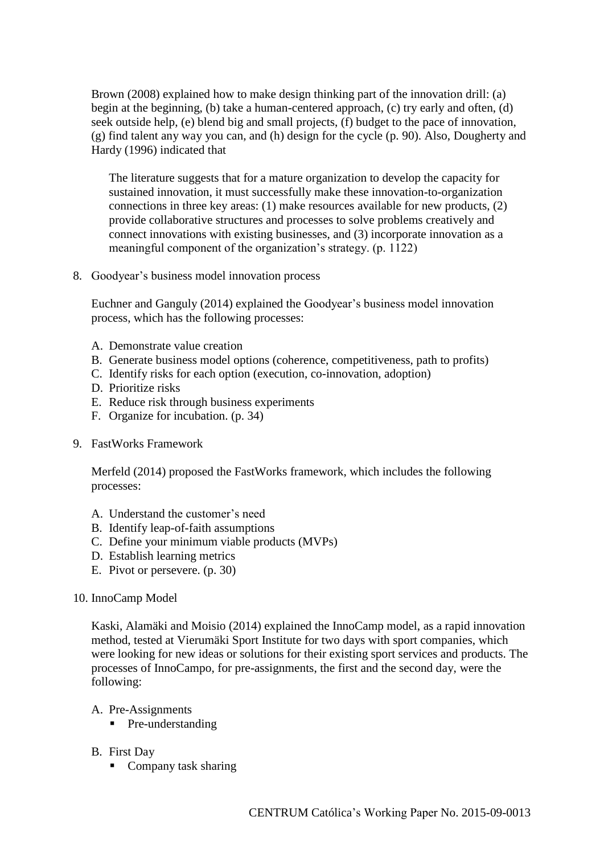Brown (2008) explained how to make design thinking part of the innovation drill: (a) begin at the beginning, (b) take a human-centered approach, (c) try early and often, (d) seek outside help, (e) blend big and small projects, (f) budget to the pace of innovation, (g) find talent any way you can, and (h) design for the cycle (p. 90). Also, Dougherty and Hardy (1996) indicated that

The literature suggests that for a mature organization to develop the capacity for sustained innovation, it must successfully make these innovation-to-organization connections in three key areas: (1) make resources available for new products, (2) provide collaborative structures and processes to solve problems creatively and connect innovations with existing businesses, and (3) incorporate innovation as a meaningful component of the organization's strategy. (p. 1122)

8. Goodyear's business model innovation process

Euchner and Ganguly (2014) explained the Goodyear's business model innovation process, which has the following processes:

- A. Demonstrate value creation
- B. Generate business model options (coherence, competitiveness, path to profits)
- C. Identify risks for each option (execution, co-innovation, adoption)
- D. Prioritize risks
- E. Reduce risk through business experiments
- F. Organize for incubation. (p. 34)
- 9. FastWorks Framework

Merfeld (2014) proposed the FastWorks framework, which includes the following processes:

- A. Understand the customer's need
- B. Identify leap-of-faith assumptions
- C. Define your minimum viable products (MVPs)
- D. Establish learning metrics
- E. Pivot or persevere. (p. 30)

#### 10. InnoCamp Model

Kaski, Alamäki and Moisio (2014) explained the InnoCamp model, as a rapid innovation method, tested at Vierumäki Sport Institute for two days with sport companies, which were looking for new ideas or solutions for their existing sport services and products. The processes of InnoCampo, for pre-assignments, the first and the second day, were the following:

- A. Pre-Assignments
	- Pre-understanding
- B. First Day
	- Company task sharing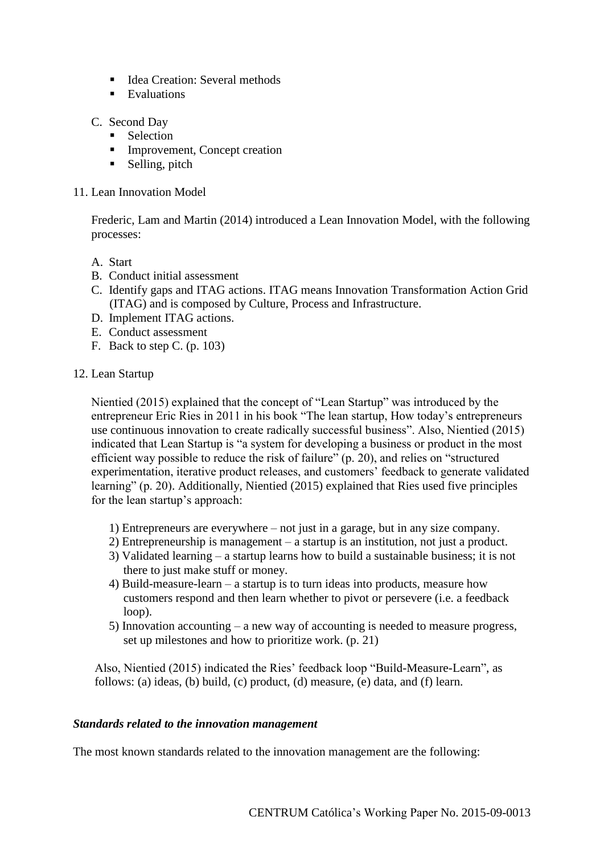- Idea Creation: Several methods
- **Evaluations**
- C. Second Day
	- **Selection**
	- **Improvement, Concept creation**
	- Selling, pitch

#### 11. Lean Innovation Model

Frederic, Lam and Martin (2014) introduced a Lean Innovation Model, with the following processes:

- A. Start
- B. Conduct initial assessment
- C. Identify gaps and ITAG actions. ITAG means Innovation Transformation Action Grid (ITAG) and is composed by Culture, Process and Infrastructure.
- D. Implement ITAG actions.
- E. Conduct assessment
- F. Back to step C. (p. 103)

#### 12. Lean Startup

Nientied (2015) explained that the concept of "Lean Startup" was introduced by the entrepreneur Eric Ries in 2011 in his book "The lean startup, How today's entrepreneurs use continuous innovation to create radically successful business". Also, Nientied (2015) indicated that Lean Startup is "a system for developing a business or product in the most efficient way possible to reduce the risk of failure" (p. 20), and relies on "structured experimentation, iterative product releases, and customers' feedback to generate validated learning" (p. 20). Additionally, Nientied (2015) explained that Ries used five principles for the lean startup's approach:

- 1) Entrepreneurs are everywhere not just in a garage, but in any size company.
- 2) Entrepreneurship is management a startup is an institution, not just a product.
- 3) Validated learning a startup learns how to build a sustainable business; it is not there to just make stuff or money.
- 4) Build-measure-learn a startup is to turn ideas into products, measure how customers respond and then learn whether to pivot or persevere (i.e. a feedback loop).
- 5) Innovation accounting a new way of accounting is needed to measure progress, set up milestones and how to prioritize work. (p. 21)

Also, Nientied (2015) indicated the Ries' feedback loop "Build-Measure-Learn", as follows: (a) ideas, (b) build, (c) product, (d) measure, (e) data, and (f) learn.

#### *Standards related to the innovation management*

The most known standards related to the innovation management are the following: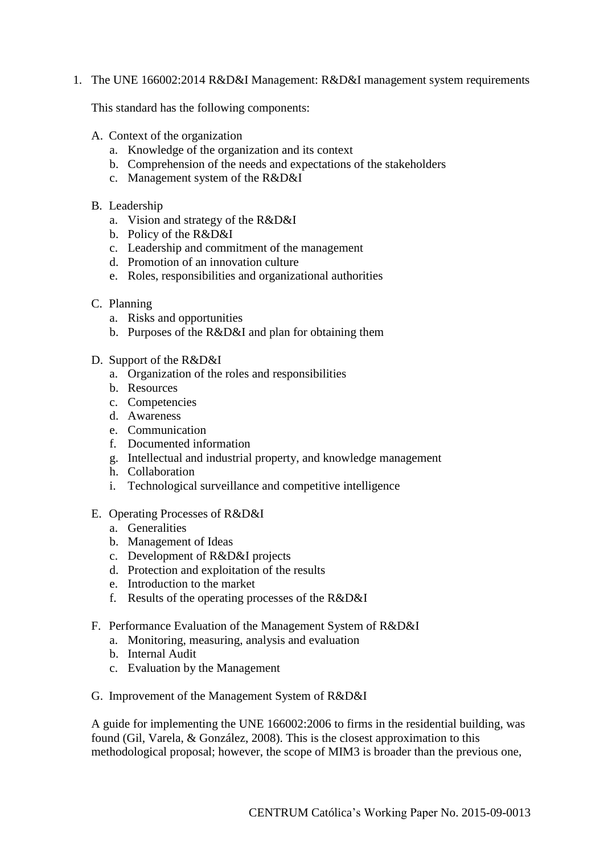1. The UNE 166002:2014 R&D&I Management: R&D&I management system requirements

This standard has the following components:

- A. Context of the organization
	- a. Knowledge of the organization and its context
	- b. Comprehension of the needs and expectations of the stakeholders
	- c. Management system of the R&D&I
- B. Leadership
	- a. Vision and strategy of the R&D&I
	- b. Policy of the R&D&I
	- c. Leadership and commitment of the management
	- d. Promotion of an innovation culture
	- e. Roles, responsibilities and organizational authorities
- C. Planning
	- a. Risks and opportunities
	- b. Purposes of the R&D&I and plan for obtaining them
- D. Support of the R&D&I
	- a. Organization of the roles and responsibilities
	- b. Resources
	- c. Competencies
	- d. Awareness
	- e. Communication
	- f. Documented information
	- g. Intellectual and industrial property, and knowledge management
	- h. Collaboration
	- i. Technological surveillance and competitive intelligence
- E. Operating Processes of R&D&I
	- a. Generalities
	- b. Management of Ideas
	- c. Development of R&D&I projects
	- d. Protection and exploitation of the results
	- e. Introduction to the market
	- f. Results of the operating processes of the R&D&I
- F. Performance Evaluation of the Management System of R&D&I
	- a. Monitoring, measuring, analysis and evaluation
	- b. Internal Audit
	- c. Evaluation by the Management
- G. Improvement of the Management System of R&D&I

A guide for implementing the UNE 166002:2006 to firms in the residential building, was found (Gil, Varela, & González, 2008). This is the closest approximation to this methodological proposal; however, the scope of MIM3 is broader than the previous one,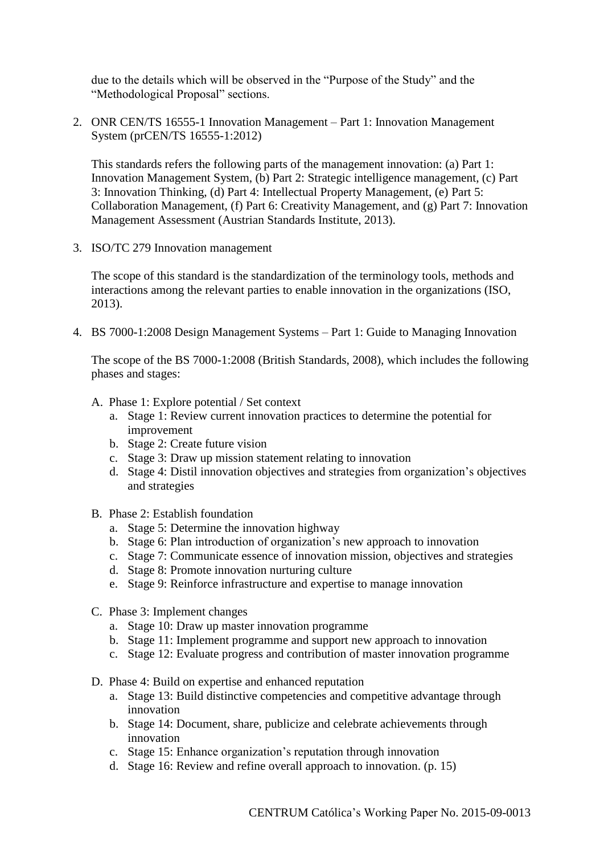due to the details which will be observed in the "Purpose of the Study" and the "Methodological Proposal" sections.

2. ONR CEN/TS 16555-1 Innovation Management – Part 1: Innovation Management System (prCEN/TS 16555-1:2012)

This standards refers the following parts of the management innovation: (a) Part 1: Innovation Management System, (b) Part 2: Strategic intelligence management, (c) Part 3: Innovation Thinking, (d) Part 4: Intellectual Property Management, (e) Part 5: Collaboration Management, (f) Part 6: Creativity Management, and (g) Part 7: Innovation Management Assessment (Austrian Standards Institute, 2013).

3. ISO/TC 279 Innovation management

The scope of this standard is the standardization of the terminology tools, methods and interactions among the relevant parties to enable innovation in the organizations (ISO, 2013).

4. BS 7000-1:2008 Design Management Systems – Part 1: Guide to Managing Innovation

The scope of the BS 7000-1:2008 (British Standards, 2008), which includes the following phases and stages:

- A. Phase 1: Explore potential / Set context
	- a. Stage 1: Review current innovation practices to determine the potential for improvement
	- b. Stage 2: Create future vision
	- c. Stage 3: Draw up mission statement relating to innovation
	- d. Stage 4: Distil innovation objectives and strategies from organization's objectives and strategies
- B. Phase 2: Establish foundation
	- a. Stage 5: Determine the innovation highway
	- b. Stage 6: Plan introduction of organization's new approach to innovation
	- c. Stage 7: Communicate essence of innovation mission, objectives and strategies
	- d. Stage 8: Promote innovation nurturing culture
	- e. Stage 9: Reinforce infrastructure and expertise to manage innovation
- C. Phase 3: Implement changes
	- a. Stage 10: Draw up master innovation programme
	- b. Stage 11: Implement programme and support new approach to innovation
	- c. Stage 12: Evaluate progress and contribution of master innovation programme
- D. Phase 4: Build on expertise and enhanced reputation
	- a. Stage 13: Build distinctive competencies and competitive advantage through innovation
	- b. Stage 14: Document, share, publicize and celebrate achievements through innovation
	- c. Stage 15: Enhance organization's reputation through innovation
	- d. Stage 16: Review and refine overall approach to innovation. (p. 15)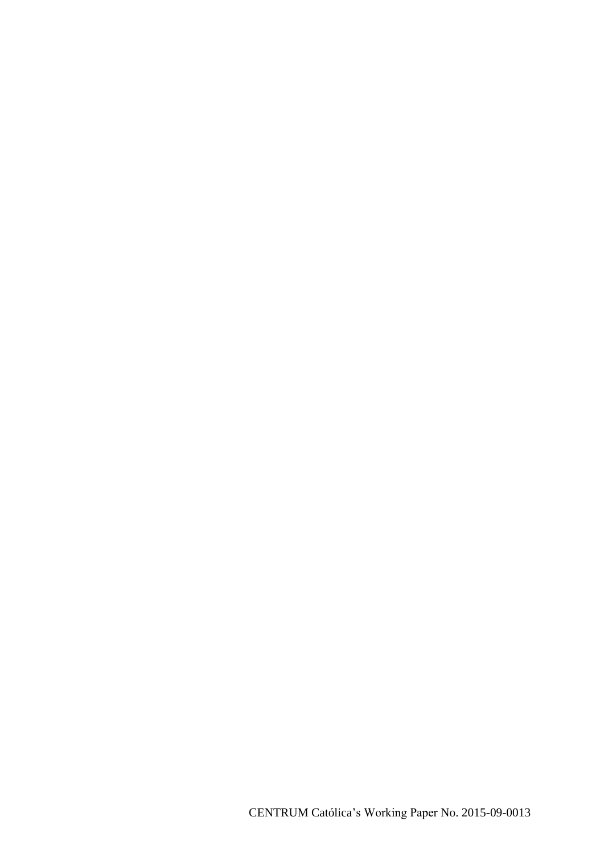CENTRUM Católica's Working Paper No. 2015-09-0013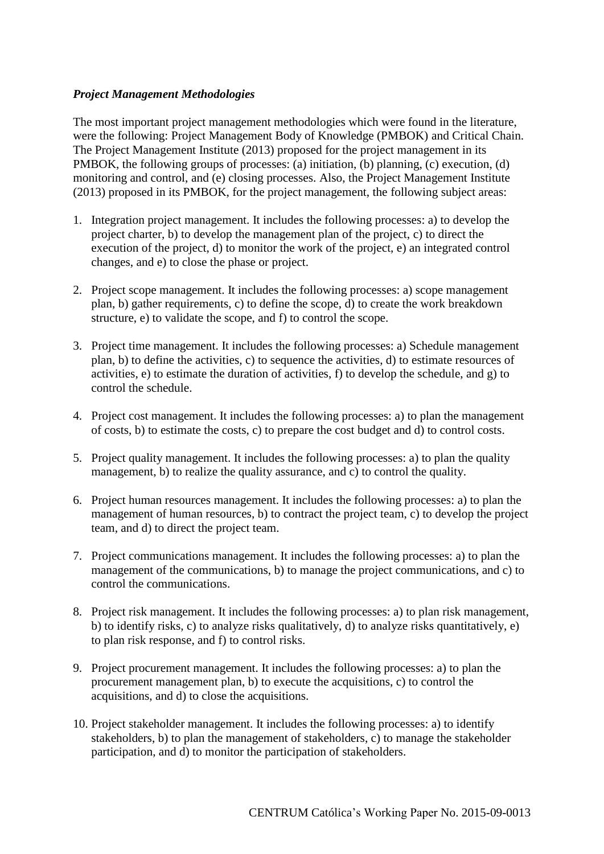#### *Project Management Methodologies*

The most important project management methodologies which were found in the literature, were the following: Project Management Body of Knowledge (PMBOK) and Critical Chain. The Project Management Institute (2013) proposed for the project management in its PMBOK, the following groups of processes: (a) initiation, (b) planning, (c) execution, (d) monitoring and control, and (e) closing processes. Also, the Project Management Institute (2013) proposed in its PMBOK, for the project management, the following subject areas:

- 1. Integration project management. It includes the following processes: a) to develop the project charter, b) to develop the management plan of the project, c) to direct the execution of the project, d) to monitor the work of the project, e) an integrated control changes, and e) to close the phase or project.
- 2. Project scope management. It includes the following processes: a) scope management plan, b) gather requirements, c) to define the scope, d) to create the work breakdown structure, e) to validate the scope, and f) to control the scope.
- 3. Project time management. It includes the following processes: a) Schedule management plan, b) to define the activities, c) to sequence the activities, d) to estimate resources of activities, e) to estimate the duration of activities, f) to develop the schedule, and g) to control the schedule.
- 4. Project cost management. It includes the following processes: a) to plan the management of costs, b) to estimate the costs, c) to prepare the cost budget and d) to control costs.
- 5. Project quality management. It includes the following processes: a) to plan the quality management, b) to realize the quality assurance, and c) to control the quality.
- 6. Project human resources management. It includes the following processes: a) to plan the management of human resources, b) to contract the project team, c) to develop the project team, and d) to direct the project team.
- 7. Project communications management. It includes the following processes: a) to plan the management of the communications, b) to manage the project communications, and c) to control the communications.
- 8. Project risk management. It includes the following processes: a) to plan risk management, b) to identify risks, c) to analyze risks qualitatively, d) to analyze risks quantitatively, e) to plan risk response, and f) to control risks.
- 9. Project procurement management. It includes the following processes: a) to plan the procurement management plan, b) to execute the acquisitions, c) to control the acquisitions, and d) to close the acquisitions.
- 10. Project stakeholder management. It includes the following processes: a) to identify stakeholders, b) to plan the management of stakeholders, c) to manage the stakeholder participation, and d) to monitor the participation of stakeholders.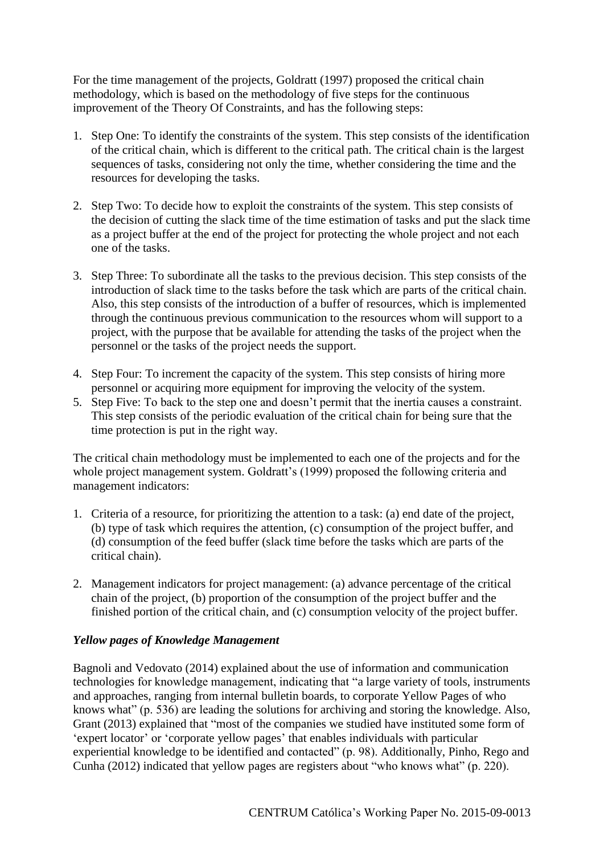For the time management of the projects, Goldratt (1997) proposed the critical chain methodology, which is based on the methodology of five steps for the continuous improvement of the Theory Of Constraints, and has the following steps:

- 1. Step One: To identify the constraints of the system. This step consists of the identification of the critical chain, which is different to the critical path. The critical chain is the largest sequences of tasks, considering not only the time, whether considering the time and the resources for developing the tasks.
- 2. Step Two: To decide how to exploit the constraints of the system. This step consists of the decision of cutting the slack time of the time estimation of tasks and put the slack time as a project buffer at the end of the project for protecting the whole project and not each one of the tasks.
- 3. Step Three: To subordinate all the tasks to the previous decision. This step consists of the introduction of slack time to the tasks before the task which are parts of the critical chain. Also, this step consists of the introduction of a buffer of resources, which is implemented through the continuous previous communication to the resources whom will support to a project, with the purpose that be available for attending the tasks of the project when the personnel or the tasks of the project needs the support.
- 4. Step Four: To increment the capacity of the system. This step consists of hiring more personnel or acquiring more equipment for improving the velocity of the system.
- 5. Step Five: To back to the step one and doesn't permit that the inertia causes a constraint. This step consists of the periodic evaluation of the critical chain for being sure that the time protection is put in the right way.

The critical chain methodology must be implemented to each one of the projects and for the whole project management system. Goldratt's (1999) proposed the following criteria and management indicators:

- 1. Criteria of a resource, for prioritizing the attention to a task: (a) end date of the project, (b) type of task which requires the attention, (c) consumption of the project buffer, and (d) consumption of the feed buffer (slack time before the tasks which are parts of the critical chain).
- 2. Management indicators for project management: (a) advance percentage of the critical chain of the project, (b) proportion of the consumption of the project buffer and the finished portion of the critical chain, and (c) consumption velocity of the project buffer.

#### *Yellow pages of Knowledge Management*

Bagnoli and Vedovato (2014) explained about the use of information and communication technologies for knowledge management, indicating that "a large variety of tools, instruments and approaches, ranging from internal bulletin boards, to corporate Yellow Pages of who knows what" (p. 536) are leading the solutions for archiving and storing the knowledge. Also, Grant (2013) explained that "most of the companies we studied have instituted some form of 'expert locator' or 'corporate yellow pages' that enables individuals with particular experiential knowledge to be identified and contacted" (p. 98). Additionally, Pinho, Rego and Cunha (2012) indicated that yellow pages are registers about "who knows what" (p. 220).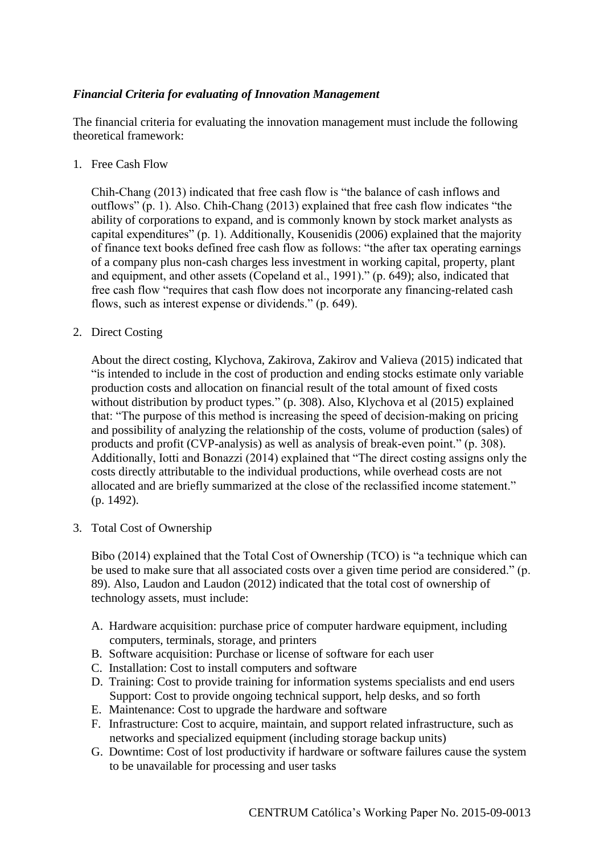#### *Financial Criteria for evaluating of Innovation Management*

The financial criteria for evaluating the innovation management must include the following theoretical framework:

1. Free Cash Flow

Chih-Chang (2013) indicated that free cash flow is "the balance of cash inflows and outflows" (p. 1). Also. Chih-Chang (2013) explained that free cash flow indicates "the ability of corporations to expand, and is commonly known by stock market analysts as capital expenditures" (p. 1). Additionally, Kousenidis (2006) explained that the majority of finance text books defined free cash flow as follows: "the after tax operating earnings of a company plus non-cash charges less investment in working capital, property, plant and equipment, and other assets (Copeland et al., 1991)." (p. 649); also, indicated that free cash flow "requires that cash flow does not incorporate any financing-related cash flows, such as interest expense or dividends." (p. 649).

2. Direct Costing

About the direct costing, Klychova, Zakirova, Zakirov and Valieva (2015) indicated that "is intended to include in the cost of production and ending stocks estimate only variable production costs and allocation on financial result of the total amount of fixed costs without distribution by product types." (p. 308). Also, Klychova et al (2015) explained that: "The purpose of this method is increasing the speed of decision-making on pricing and possibility of analyzing the relationship of the costs, volume of production (sales) of products and profit (CVP-analysis) as well as analysis of break-even point." (p. 308). Additionally, Iotti and Bonazzi (2014) explained that "The direct costing assigns only the costs directly attributable to the individual productions, while overhead costs are not allocated and are briefly summarized at the close of the reclassified income statement." (p. 1492).

3. Total Cost of Ownership

Bibo (2014) explained that the Total Cost of Ownership (TCO) is "a technique which can be used to make sure that all associated costs over a given time period are considered." (p. 89). Also, Laudon and Laudon (2012) indicated that the total cost of ownership of technology assets, must include:

- A. Hardware acquisition: purchase price of computer hardware equipment, including computers, terminals, storage, and printers
- B. Software acquisition: Purchase or license of software for each user
- C. Installation: Cost to install computers and software
- D. Training: Cost to provide training for information systems specialists and end users Support: Cost to provide ongoing technical support, help desks, and so forth
- E. Maintenance: Cost to upgrade the hardware and software
- F. Infrastructure: Cost to acquire, maintain, and support related infrastructure, such as networks and specialized equipment (including storage backup units)
- G. Downtime: Cost of lost productivity if hardware or software failures cause the system to be unavailable for processing and user tasks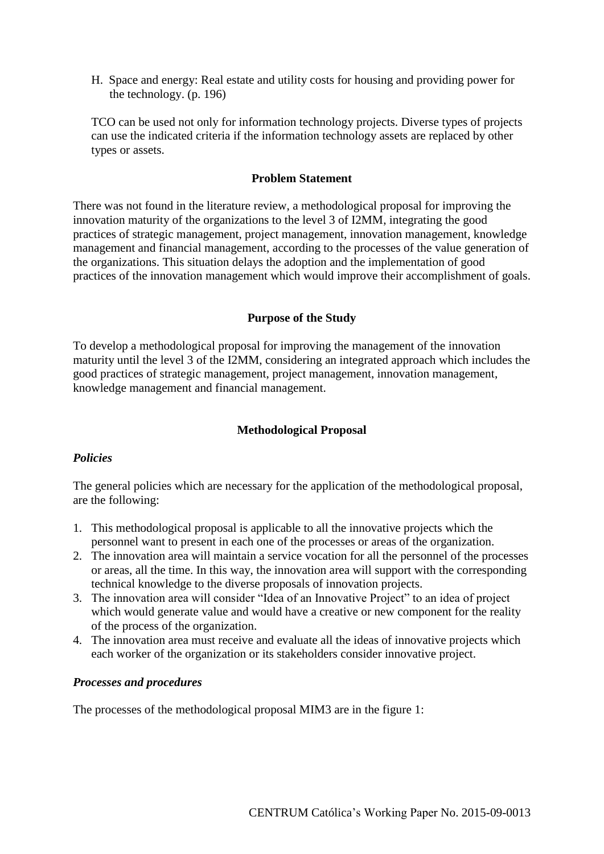H. Space and energy: Real estate and utility costs for housing and providing power for the technology. (p. 196)

TCO can be used not only for information technology projects. Diverse types of projects can use the indicated criteria if the information technology assets are replaced by other types or assets.

#### **Problem Statement**

There was not found in the literature review, a methodological proposal for improving the innovation maturity of the organizations to the level 3 of I2MM, integrating the good practices of strategic management, project management, innovation management, knowledge management and financial management, according to the processes of the value generation of the organizations. This situation delays the adoption and the implementation of good practices of the innovation management which would improve their accomplishment of goals.

#### **Purpose of the Study**

To develop a methodological proposal for improving the management of the innovation maturity until the level 3 of the I2MM, considering an integrated approach which includes the good practices of strategic management, project management, innovation management, knowledge management and financial management.

#### **Methodological Proposal**

#### *Policies*

The general policies which are necessary for the application of the methodological proposal, are the following:

- 1. This methodological proposal is applicable to all the innovative projects which the personnel want to present in each one of the processes or areas of the organization.
- 2. The innovation area will maintain a service vocation for all the personnel of the processes or areas, all the time. In this way, the innovation area will support with the corresponding technical knowledge to the diverse proposals of innovation projects.
- 3. The innovation area will consider "Idea of an Innovative Project" to an idea of project which would generate value and would have a creative or new component for the reality of the process of the organization.
- 4. The innovation area must receive and evaluate all the ideas of innovative projects which each worker of the organization or its stakeholders consider innovative project.

#### *Processes and procedures*

The processes of the methodological proposal MIM3 are in the figure 1: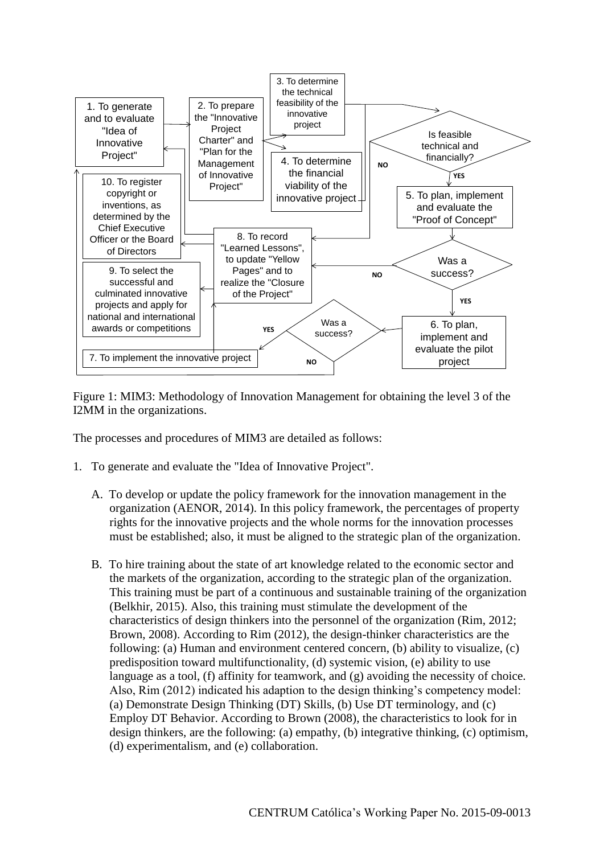

Figure 1: MIM3: Methodology of Innovation Management for obtaining the level 3 of the I2MM in the organizations.

The processes and procedures of MIM3 are detailed as follows:

- 1. To generate and evaluate the "Idea of Innovative Project".
	- A. To develop or update the policy framework for the innovation management in the organization (AENOR, 2014). In this policy framework, the percentages of property rights for the innovative projects and the whole norms for the innovation processes must be established; also, it must be aligned to the strategic plan of the organization.
	- B. To hire training about the state of art knowledge related to the economic sector and the markets of the organization, according to the strategic plan of the organization. This training must be part of a continuous and sustainable training of the organization (Belkhir, 2015). Also, this training must stimulate the development of the characteristics of design thinkers into the personnel of the organization (Rim, 2012; Brown, 2008). According to Rim (2012), the design-thinker characteristics are the following: (a) Human and environment centered concern, (b) ability to visualize, (c) predisposition toward multifunctionality, (d) systemic vision, (e) ability to use language as a tool, (f) affinity for teamwork, and (g) avoiding the necessity of choice. Also, Rim (2012) indicated his adaption to the design thinking's competency model: (a) Demonstrate Design Thinking (DT) Skills, (b) Use DT terminology, and (c) Employ DT Behavior. According to Brown (2008), the characteristics to look for in design thinkers, are the following: (a) empathy, (b) integrative thinking, (c) optimism, (d) experimentalism, and (e) collaboration.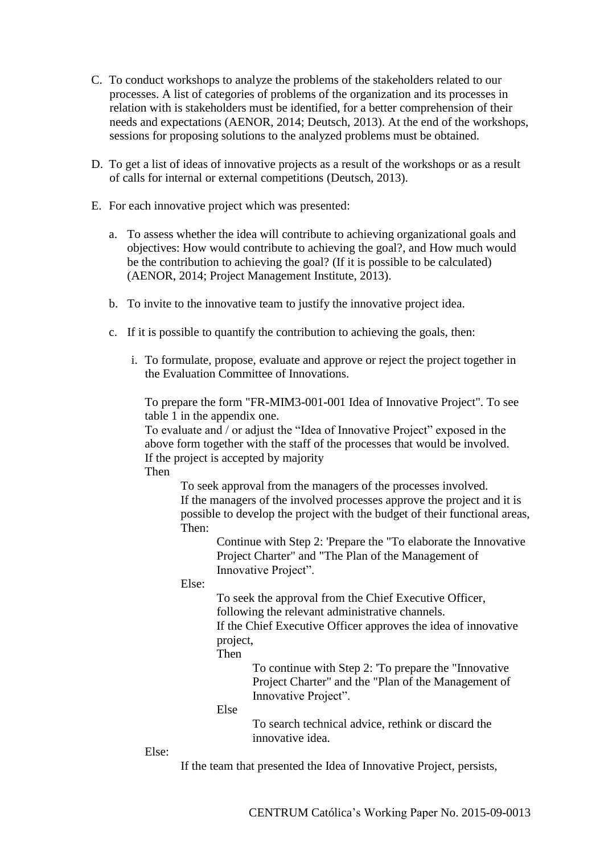- C. To conduct workshops to analyze the problems of the stakeholders related to our processes. A list of categories of problems of the organization and its processes in relation with is stakeholders must be identified, for a better comprehension of their needs and expectations (AENOR, 2014; Deutsch, 2013). At the end of the workshops, sessions for proposing solutions to the analyzed problems must be obtained.
- D. To get a list of ideas of innovative projects as a result of the workshops or as a result of calls for internal or external competitions (Deutsch, 2013).
- E. For each innovative project which was presented:
	- a. To assess whether the idea will contribute to achieving organizational goals and objectives: How would contribute to achieving the goal?, and How much would be the contribution to achieving the goal? (If it is possible to be calculated) (AENOR, 2014; Project Management Institute, 2013).
	- b. To invite to the innovative team to justify the innovative project idea.
	- c. If it is possible to quantify the contribution to achieving the goals, then:
		- i. To formulate, propose, evaluate and approve or reject the project together in the Evaluation Committee of Innovations.

To prepare the form "FR-MIM3-001-001 Idea of Innovative Project". To see table 1 in the appendix one.

To evaluate and / or adjust the "Idea of Innovative Project" exposed in the above form together with the staff of the processes that would be involved. If the project is accepted by majority

Then

To seek approval from the managers of the processes involved. If the managers of the involved processes approve the project and it is possible to develop the project with the budget of their functional areas, Then:

Continue with Step 2: 'Prepare the "To elaborate the Innovative Project Charter" and "The Plan of the Management of Innovative Project".

Else:

To seek the approval from the Chief Executive Officer, following the relevant administrative channels. If the Chief Executive Officer approves the idea of innovative project,

Then

To continue with Step 2: 'To prepare the "Innovative Project Charter" and the "Plan of the Management of Innovative Project".

Else

To search technical advice, rethink or discard the innovative idea.

Else:

If the team that presented the Idea of Innovative Project, persists,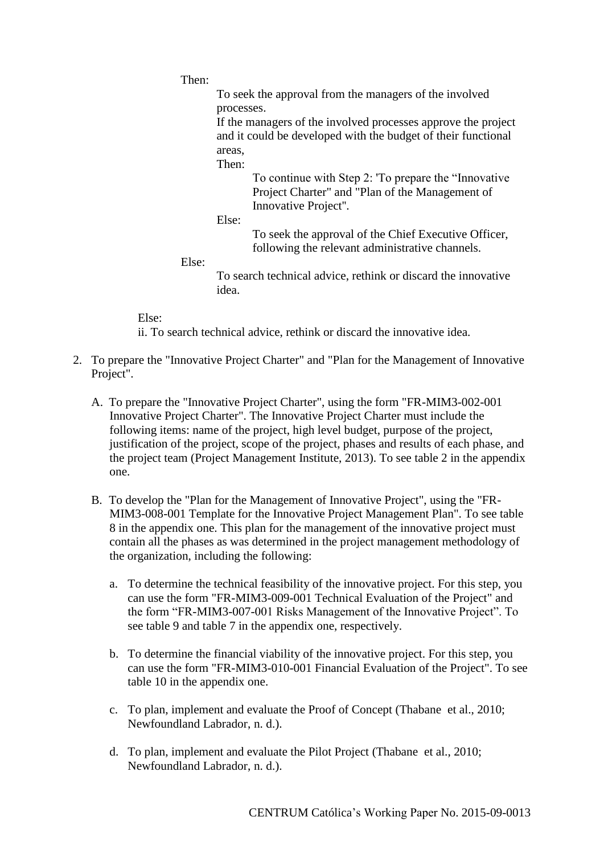Then:

To seek the approval from the managers of the involved processes.

If the managers of the involved processes approve the project and it could be developed with the budget of their functional areas,

Then:

To continue with Step 2: 'To prepare the "Innovative Project Charter" and "Plan of the Management of Innovative Project''.

Else:

To seek the approval of the Chief Executive Officer, following the relevant administrative channels.

Else:

To search technical advice, rethink or discard the innovative idea.

Else:

ii. To search technical advice, rethink or discard the innovative idea.

- 2. To prepare the "Innovative Project Charter" and "Plan for the Management of Innovative Project".
	- A. To prepare the "Innovative Project Charter", using the form "FR-MIM3-002-001 Innovative Project Charter". The Innovative Project Charter must include the following items: name of the project, high level budget, purpose of the project, justification of the project, scope of the project, phases and results of each phase, and the project team (Project Management Institute, 2013). To see table 2 in the appendix one.
	- B. To develop the "Plan for the Management of Innovative Project", using the "FR-MIM3-008-001 Template for the Innovative Project Management Plan". To see table 8 in the appendix one. This plan for the management of the innovative project must contain all the phases as was determined in the project management methodology of the organization, including the following:
		- a. To determine the technical feasibility of the innovative project. For this step, you can use the form "FR-MIM3-009-001 Technical Evaluation of the Project" and the form "FR-MIM3-007-001 Risks Management of the Innovative Project". To see table 9 and table 7 in the appendix one, respectively.
		- b. To determine the financial viability of the innovative project. For this step, you can use the form "FR-MIM3-010-001 Financial Evaluation of the Project". To see table 10 in the appendix one.
		- c. To plan, implement and evaluate the Proof of Concept (Thabane et al., 2010; Newfoundland Labrador, n. d.).
		- d. To plan, implement and evaluate the Pilot Project (Thabane et al., 2010; Newfoundland Labrador, n. d.).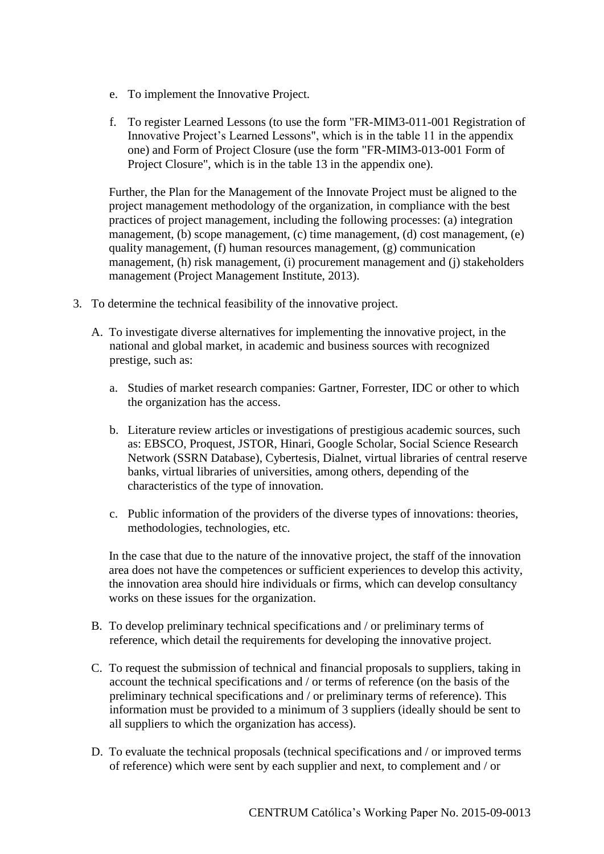- e. To implement the Innovative Project.
- f. To register Learned Lessons (to use the form "FR-MIM3-011-001 Registration of Innovative Project's Learned Lessons", which is in the table 11 in the appendix one) and Form of Project Closure (use the form "FR-MIM3-013-001 Form of Project Closure", which is in the table 13 in the appendix one).

Further, the Plan for the Management of the Innovate Project must be aligned to the project management methodology of the organization, in compliance with the best practices of project management, including the following processes: (a) integration management, (b) scope management, (c) time management, (d) cost management, (e) quality management, (f) human resources management, (g) communication management, (h) risk management, (i) procurement management and (j) stakeholders management (Project Management Institute, 2013).

- 3. To determine the technical feasibility of the innovative project.
	- A. To investigate diverse alternatives for implementing the innovative project, in the national and global market, in academic and business sources with recognized prestige, such as:
		- a. Studies of market research companies: Gartner, Forrester, IDC or other to which the organization has the access.
		- b. Literature review articles or investigations of prestigious academic sources, such as: EBSCO, Proquest, JSTOR, Hinari, Google Scholar, Social Science Research Network (SSRN Database), Cybertesis, Dialnet, virtual libraries of central reserve banks, virtual libraries of universities, among others, depending of the characteristics of the type of innovation.
		- c. Public information of the providers of the diverse types of innovations: theories, methodologies, technologies, etc.

In the case that due to the nature of the innovative project, the staff of the innovation area does not have the competences or sufficient experiences to develop this activity, the innovation area should hire individuals or firms, which can develop consultancy works on these issues for the organization.

- B. To develop preliminary technical specifications and / or preliminary terms of reference, which detail the requirements for developing the innovative project.
- C. To request the submission of technical and financial proposals to suppliers, taking in account the technical specifications and / or terms of reference (on the basis of the preliminary technical specifications and / or preliminary terms of reference). This information must be provided to a minimum of 3 suppliers (ideally should be sent to all suppliers to which the organization has access).
- D. To evaluate the technical proposals (technical specifications and / or improved terms of reference) which were sent by each supplier and next, to complement and / or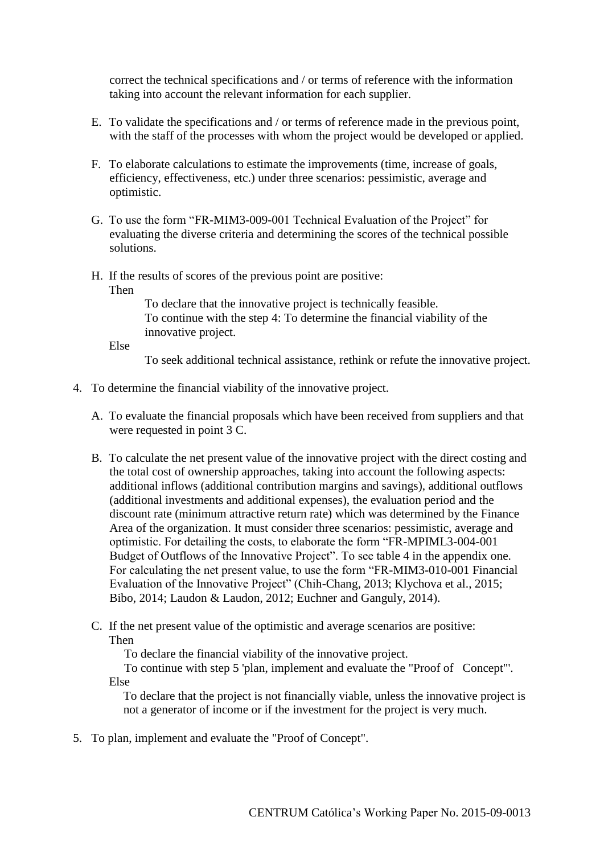correct the technical specifications and / or terms of reference with the information taking into account the relevant information for each supplier.

- E. To validate the specifications and / or terms of reference made in the previous point, with the staff of the processes with whom the project would be developed or applied.
- F. To elaborate calculations to estimate the improvements (time, increase of goals, efficiency, effectiveness, etc.) under three scenarios: pessimistic, average and optimistic.
- G. To use the form "FR-MIM3-009-001 Technical Evaluation of the Project" for evaluating the diverse criteria and determining the scores of the technical possible solutions.

#### H. If the results of scores of the previous point are positive:

Then

To declare that the innovative project is technically feasible. To continue with the step 4: To determine the financial viability of the innovative project.

Else

To seek additional technical assistance, rethink or refute the innovative project.

#### 4. To determine the financial viability of the innovative project.

- A. To evaluate the financial proposals which have been received from suppliers and that were requested in point 3 C.
- B. To calculate the net present value of the innovative project with the direct costing and the total cost of ownership approaches, taking into account the following aspects: additional inflows (additional contribution margins and savings), additional outflows (additional investments and additional expenses), the evaluation period and the discount rate (minimum attractive return rate) which was determined by the Finance Area of the organization. It must consider three scenarios: pessimistic, average and optimistic. For detailing the costs, to elaborate the form "FR-MPIML3-004-001 Budget of Outflows of the Innovative Project". To see table 4 in the appendix one. For calculating the net present value, to use the form "FR-MIM3-010-001 Financial Evaluation of the Innovative Project" (Chih-Chang, 2013; Klychova et al., 2015; Bibo, 2014; Laudon & Laudon, 2012; Euchner and Ganguly, 2014).
- C. If the net present value of the optimistic and average scenarios are positive: Then

To declare the financial viability of the innovative project.

 To continue with step 5 'plan, implement and evaluate the "Proof of Concept"'. Else

To declare that the project is not financially viable, unless the innovative project is not a generator of income or if the investment for the project is very much.

5. To plan, implement and evaluate the "Proof of Concept".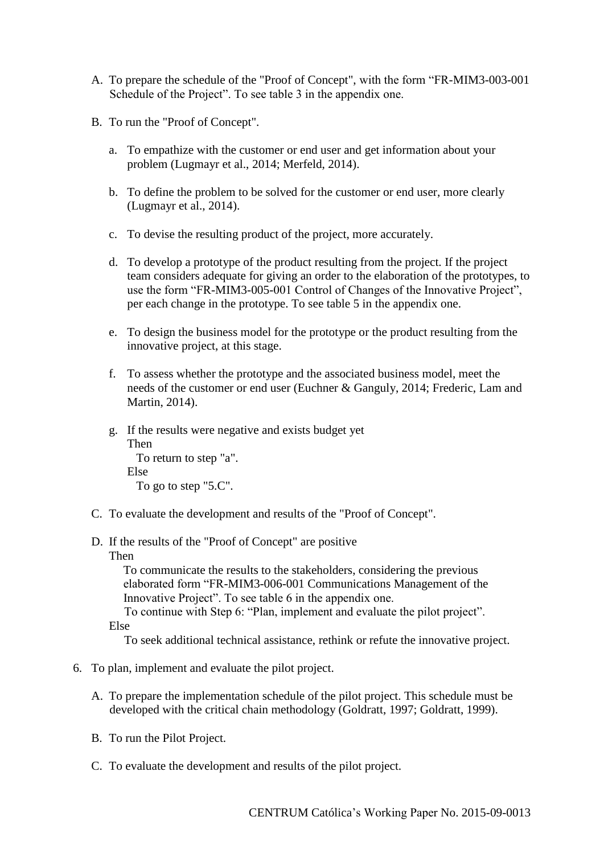- A. To prepare the schedule of the "Proof of Concept", with the form "FR-MIM3-003-001 Schedule of the Project". To see table 3 in the appendix one.
- B. To run the "Proof of Concept".
	- a. To empathize with the customer or end user and get information about your problem (Lugmayr et al., 2014; Merfeld, 2014).
	- b. To define the problem to be solved for the customer or end user, more clearly (Lugmayr et al., 2014).
	- c. To devise the resulting product of the project, more accurately.
	- d. To develop a prototype of the product resulting from the project. If the project team considers adequate for giving an order to the elaboration of the prototypes, to use the form "FR-MIM3-005-001 Control of Changes of the Innovative Project", per each change in the prototype. To see table 5 in the appendix one.
	- e. To design the business model for the prototype or the product resulting from the innovative project, at this stage.
	- f. To assess whether the prototype and the associated business model, meet the needs of the customer or end user (Euchner & Ganguly, 2014; Frederic, Lam and Martin, 2014).
	- g. If the results were negative and exists budget yet Then To return to step "a". Else To go to step "5.C".
- C. To evaluate the development and results of the "Proof of Concept".

### D. If the results of the "Proof of Concept" are positive

Then

To communicate the results to the stakeholders, considering the previous elaborated form "FR-MIM3-006-001 Communications Management of the Innovative Project". To see table 6 in the appendix one.

 To continue with Step 6: "Plan, implement and evaluate the pilot project". Else

To seek additional technical assistance, rethink or refute the innovative project.

- 6. To plan, implement and evaluate the pilot project.
	- A. To prepare the implementation schedule of the pilot project. This schedule must be developed with the critical chain methodology (Goldratt, 1997; Goldratt, 1999).
	- B. To run the Pilot Project.
	- C. To evaluate the development and results of the pilot project.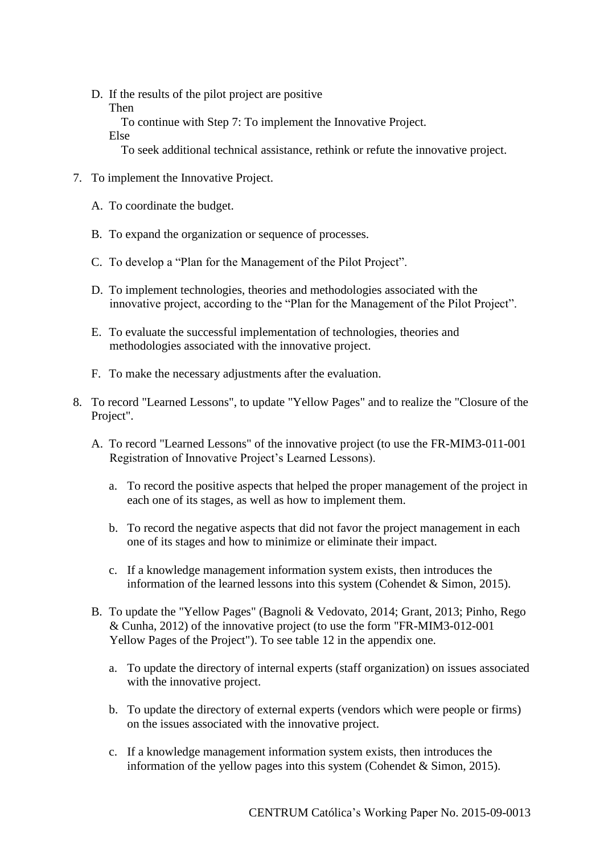D. If the results of the pilot project are positive Then To continue with Step 7: To implement the Innovative Project. Else

To seek additional technical assistance, rethink or refute the innovative project.

- 7. To implement the Innovative Project.
	- A. To coordinate the budget.
	- B. To expand the organization or sequence of processes.
	- C. To develop a "Plan for the Management of the Pilot Project".
	- D. To implement technologies, theories and methodologies associated with the innovative project, according to the "Plan for the Management of the Pilot Project".
	- E. To evaluate the successful implementation of technologies, theories and methodologies associated with the innovative project.
	- F. To make the necessary adjustments after the evaluation.
- 8. To record "Learned Lessons", to update "Yellow Pages" and to realize the "Closure of the Project".
	- A. To record "Learned Lessons" of the innovative project (to use the FR-MIM3-011-001 Registration of Innovative Project's Learned Lessons).
		- a. To record the positive aspects that helped the proper management of the project in each one of its stages, as well as how to implement them.
		- b. To record the negative aspects that did not favor the project management in each one of its stages and how to minimize or eliminate their impact.
		- c. If a knowledge management information system exists, then introduces the information of the learned lessons into this system (Cohendet & Simon, 2015).
	- B. To update the "Yellow Pages" (Bagnoli & Vedovato, 2014; Grant, 2013; Pinho, Rego & Cunha, 2012) of the innovative project (to use the form "FR-MIM3-012-001 Yellow Pages of the Project"). To see table 12 in the appendix one.
		- a. To update the directory of internal experts (staff organization) on issues associated with the innovative project.
		- b. To update the directory of external experts (vendors which were people or firms) on the issues associated with the innovative project.
		- c. If a knowledge management information system exists, then introduces the information of the yellow pages into this system (Cohendet & Simon, 2015).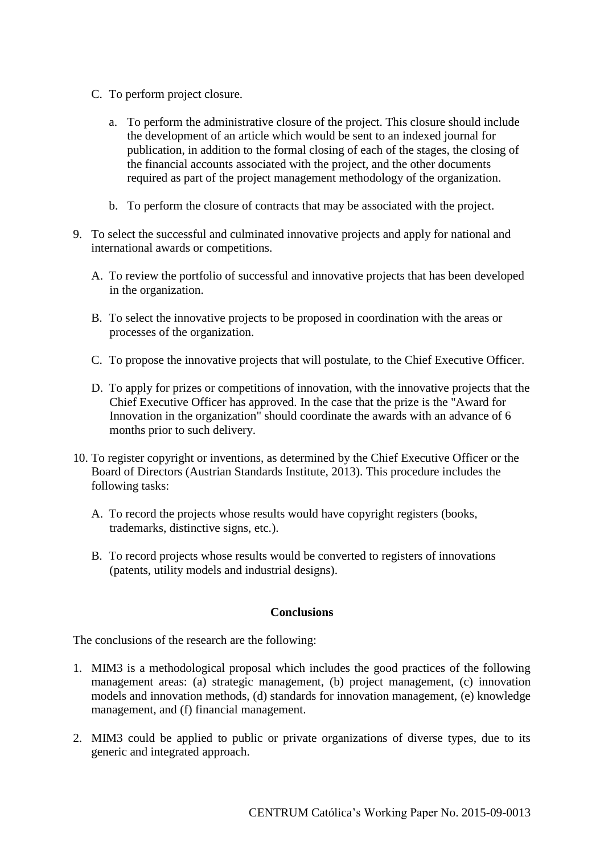- C. To perform project closure.
	- a. To perform the administrative closure of the project. This closure should include the development of an article which would be sent to an indexed journal for publication, in addition to the formal closing of each of the stages, the closing of the financial accounts associated with the project, and the other documents required as part of the project management methodology of the organization.
	- b. To perform the closure of contracts that may be associated with the project.
- 9. To select the successful and culminated innovative projects and apply for national and international awards or competitions.
	- A. To review the portfolio of successful and innovative projects that has been developed in the organization.
	- B. To select the innovative projects to be proposed in coordination with the areas or processes of the organization.
	- C. To propose the innovative projects that will postulate, to the Chief Executive Officer.
	- D. To apply for prizes or competitions of innovation, with the innovative projects that the Chief Executive Officer has approved. In the case that the prize is the "Award for Innovation in the organization" should coordinate the awards with an advance of 6 months prior to such delivery.
- 10. To register copyright or inventions, as determined by the Chief Executive Officer or the Board of Directors (Austrian Standards Institute, 2013). This procedure includes the following tasks:
	- A. To record the projects whose results would have copyright registers (books, trademarks, distinctive signs, etc.).
	- B. To record projects whose results would be converted to registers of innovations (patents, utility models and industrial designs).

#### **Conclusions**

The conclusions of the research are the following:

- 1. MIM3 is a methodological proposal which includes the good practices of the following management areas: (a) strategic management, (b) project management, (c) innovation models and innovation methods, (d) standards for innovation management, (e) knowledge management, and (f) financial management.
- 2. MIM3 could be applied to public or private organizations of diverse types, due to its generic and integrated approach.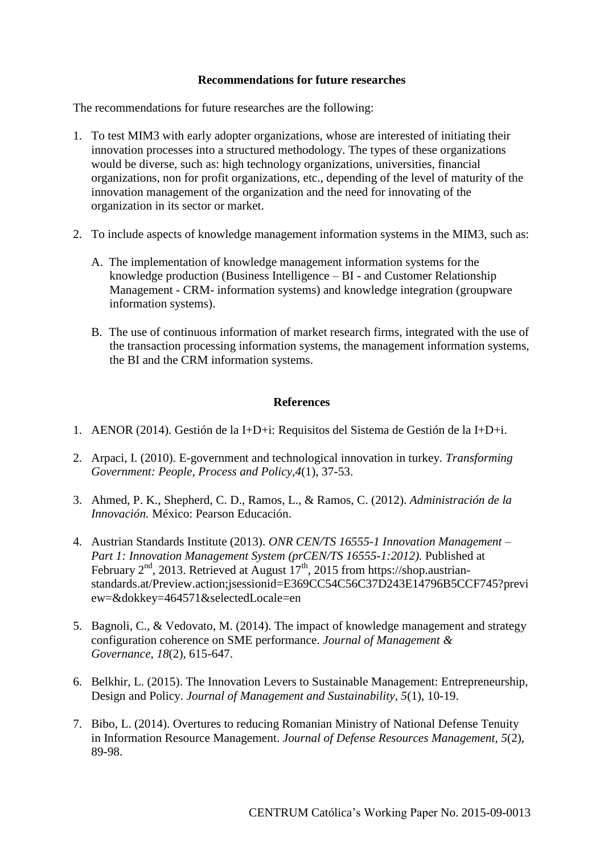#### **Recommendations for future researches**

The recommendations for future researches are the following:

- 1. To test MIM3 with early adopter organizations, whose are interested of initiating their innovation processes into a structured methodology. The types of these organizations would be diverse, such as: high technology organizations, universities, financial organizations, non for profit organizations, etc., depending of the level of maturity of the innovation management of the organization and the need for innovating of the organization in its sector or market.
- 2. To include aspects of knowledge management information systems in the MIM3, such as:
	- A. The implementation of knowledge management information systems for the knowledge production (Business Intelligence – BI - and Customer Relationship Management - CRM- information systems) and knowledge integration (groupware information systems).
	- B. The use of continuous information of market research firms, integrated with the use of the transaction processing information systems, the management information systems, the BI and the CRM information systems.

#### **References**

- 1. AENOR (2014). Gestión de la I+D+i: Requisitos del Sistema de Gestión de la I+D+i.
- 2. Arpaci, I. (2010). E-government and technological innovation in turkey. *Transforming Government: People, Process and Policy,4*(1), 37-53.
- 3. Ahmed, P. K., Shepherd, C. D., Ramos, L., & Ramos, C. (2012). *Administración de la Innovación.* México: Pearson Educación.
- 4. Austrian Standards Institute (2013). *ONR CEN/TS 16555-1 Innovation Management – Part 1: Innovation Management System (prCEN/TS 16555-1:2012).* Published at February  $2<sup>nd</sup>$ , 2013. Retrieved at August 17<sup>th</sup>, 2015 from https://shop.austrianstandards.at/Preview.action;jsessionid=E369CC54C56C37D243E14796B5CCF745?previ ew=&dokkey=464571&selectedLocale=en
- 5. Bagnoli, C., & Vedovato, M. (2014). The impact of knowledge management and strategy configuration coherence on SME performance. *Journal of Management & Governance, 18*(2), 615-647.
- 6. Belkhir, L. (2015). The Innovation Levers to Sustainable Management: Entrepreneurship, Design and Policy. *Journal of Management and Sustainability, 5*(1), 10-19.
- 7. Bibo, L. (2014). Overtures to reducing Romanian Ministry of National Defense Tenuity in Information Resource Management. *Journal of Defense Resources Management, 5*(2), 89-98.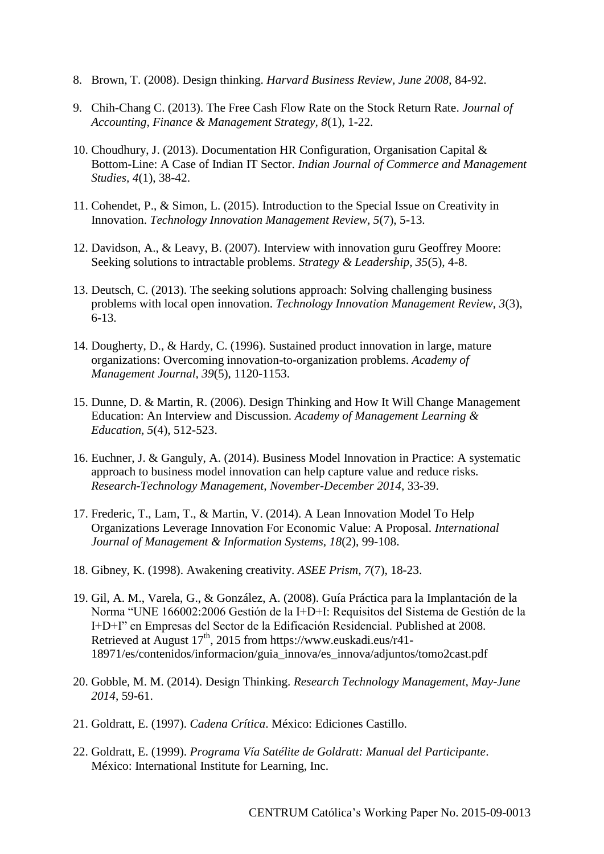- 8. Brown, T. (2008). Design thinking. *Harvard Business Review, June 2008*, 84-92.
- 9. Chih-Chang C. (2013). The Free Cash Flow Rate on the Stock Return Rate. *Journal of Accounting, Finance & Management Strategy, 8*(1), 1-22.
- 10. Choudhury, J. (2013). Documentation HR Configuration, Organisation Capital & Bottom-Line: A Case of Indian IT Sector. *Indian Journal of Commerce and Management Studies, 4*(1), 38-42.
- 11. Cohendet, P., & Simon, L. (2015). Introduction to the Special Issue on Creativity in Innovation. *Technology Innovation Management Review, 5*(7), 5-13.
- 12. Davidson, A., & Leavy, B. (2007). Interview with innovation guru Geoffrey Moore: Seeking solutions to intractable problems. *Strategy & Leadership, 35*(5), 4-8.
- 13. Deutsch, C. (2013). The seeking solutions approach: Solving challenging business problems with local open innovation. *Technology Innovation Management Review, 3*(3), 6-13.
- 14. Dougherty, D., & Hardy, C. (1996). Sustained product innovation in large, mature organizations: Overcoming innovation-to-organization problems. *Academy of Management Journal, 39*(5), 1120-1153.
- 15. Dunne, D. & Martin, R. (2006). Design Thinking and How It Will Change Management Education: An Interview and Discussion. *Academy of Management Learning & Education, 5*(4), 512-523.
- 16. Euchner, J. & Ganguly, A. (2014). Business Model Innovation in Practice: A systematic approach to business model innovation can help capture value and reduce risks. *Research-Technology Management, November-December 2014*, 33-39.
- 17. Frederic, T., Lam, T., & Martin, V. (2014). A Lean Innovation Model To Help Organizations Leverage Innovation For Economic Value: A Proposal. *International Journal of Management & Information Systems, 18*(2), 99-108.
- 18. Gibney, K. (1998). Awakening creativity. *ASEE Prism, 7*(7), 18-23.
- 19. Gil, A. M., Varela, G., & González, A. (2008). Guía Práctica para la Implantación de la Norma "UNE 166002:2006 Gestión de la I+D+I: Requisitos del Sistema de Gestión de la I+D+I" en Empresas del Sector de la Edificación Residencial. Published at 2008. Retrieved at August  $17<sup>th</sup>$ , 2015 from https://www.euskadi.eus/r41-18971/es/contenidos/informacion/guia\_innova/es\_innova/adjuntos/tomo2cast.pdf
- 20. Gobble, M. M. (2014). Design Thinking. *Research Technology Management, May-June 2014*, 59-61.
- 21. Goldratt, E. (1997). *Cadena Crítica*. México: Ediciones Castillo.
- 22. Goldratt, E. (1999). *Programa Vía Satélite de Goldratt: Manual del Participante*. México: International Institute for Learning, Inc.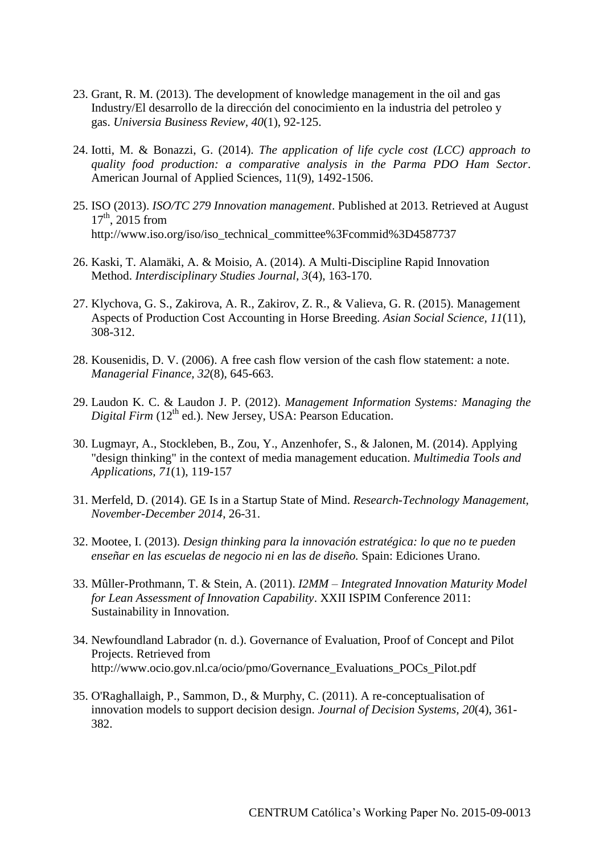- 23. Grant, R. M. (2013). The development of knowledge management in the oil and gas Industry/El desarrollo de la dirección del conocimiento en la industria del petroleo y gas. *Universia Business Review, 40*(1), 92-125.
- 24. Iotti, M. & Bonazzi, G. (2014). *The application of life cycle cost (LCC) approach to quality food production: a comparative analysis in the Parma PDO Ham Sector*. American Journal of Applied Sciences, 11(9), 1492-1506.
- 25. ISO (2013). *ISO/TC 279 Innovation management*. Published at 2013. Retrieved at August  $17^{th}$ , 2015 from http://www.iso.org/iso/iso\_technical\_committee%3Fcommid%3D4587737
- 26. Kaski, T. Alamäki, A. & Moisio, A. (2014). A Multi-Discipline Rapid Innovation Method. *Interdisciplinary Studies Journal, 3*(4), 163-170.
- 27. Klychova, G. S., Zakirova, A. R., Zakirov, Z. R., & Valieva, G. R. (2015). Management Aspects of Production Cost Accounting in Horse Breeding. *Asian Social Science, 11*(11), 308-312.
- 28. Kousenidis, D. V. (2006). A free cash flow version of the cash flow statement: a note. *Managerial Finance, 32*(8), 645-663.
- 29. Laudon K. C. & Laudon J. P. (2012). *Management Information Systems: Managing the Digital Firm* (12<sup>th</sup> ed.). New Jersey, USA: Pearson Education.
- 30. Lugmayr, A., Stockleben, B., Zou, Y., Anzenhofer, S., & Jalonen, M. (2014). Applying "design thinking" in the context of media management education. *Multimedia Tools and Applications, 71*(1), 119-157
- 31. Merfeld, D. (2014). GE Is in a Startup State of Mind. *Research-Technology Management, November-December 2014*, 26-31.
- 32. Mootee, I. (2013). *Design thinking para la innovación estratégica: lo que no te pueden enseñar en las escuelas de negocio ni en las de diseño.* Spain: Ediciones Urano.
- 33. Mûller-Prothmann, T. & Stein, A. (2011). *I2MM – Integrated Innovation Maturity Model for Lean Assessment of Innovation Capability*. XXII ISPIM Conference 2011: Sustainability in Innovation.
- 34. Newfoundland Labrador (n. d.). Governance of Evaluation, Proof of Concept and Pilot Projects. Retrieved from http://www.ocio.gov.nl.ca/ocio/pmo/Governance\_Evaluations\_POCs\_Pilot.pdf
- 35. O'Raghallaigh, P., Sammon, D., & Murphy, C. (2011). A re-conceptualisation of innovation models to support decision design. *Journal of Decision Systems, 20*(4), 361- 382.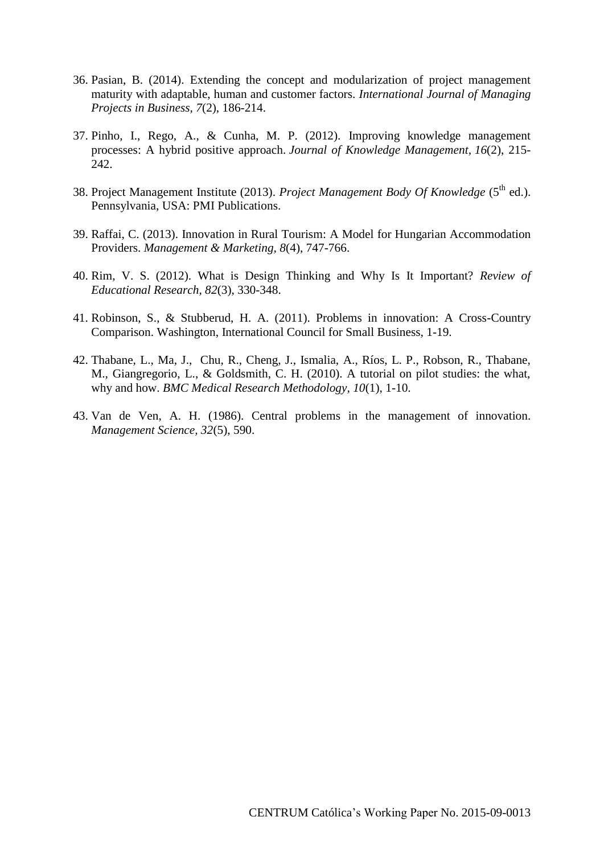- 36. Pasian, B. (2014). Extending the concept and modularization of project management maturity with adaptable, human and customer factors. *International Journal of Managing Projects in Business, 7*(2), 186-214.
- 37. Pinho, I., Rego, A., & Cunha, M. P. (2012). Improving knowledge management processes: A hybrid positive approach. *Journal of Knowledge Management, 16*(2), 215- 242.
- 38. Project Management Institute (2013). *Project Management Body Of Knowledge* (5<sup>th</sup> ed.). Pennsylvania, USA: PMI Publications.
- 39. Raffai, C. (2013). Innovation in Rural Tourism: A Model for Hungarian Accommodation Providers. *Management & Marketing, 8*(4), 747-766.
- 40. Rim, V. S. (2012). What is Design Thinking and Why Is It Important? *Review of Educational Research, 82*(3), 330-348.
- 41. Robinson, S., & Stubberud, H. A. (2011). Problems in innovation: A Cross-Country Comparison. Washington, International Council for Small Business, 1-19.
- 42. Thabane, L., Ma, J., Chu, R., Cheng, J., Ismalia, A., Ríos, L. P., Robson, R., Thabane, M., Giangregorio, L., & Goldsmith, C. H. (2010). A tutorial on pilot studies: the what, why and how. *BMC Medical Research Methodology, 10*(1), 1-10.
- 43. Van de Ven, A. H. (1986). Central problems in the management of innovation. *Management Science, 32*(5), 590.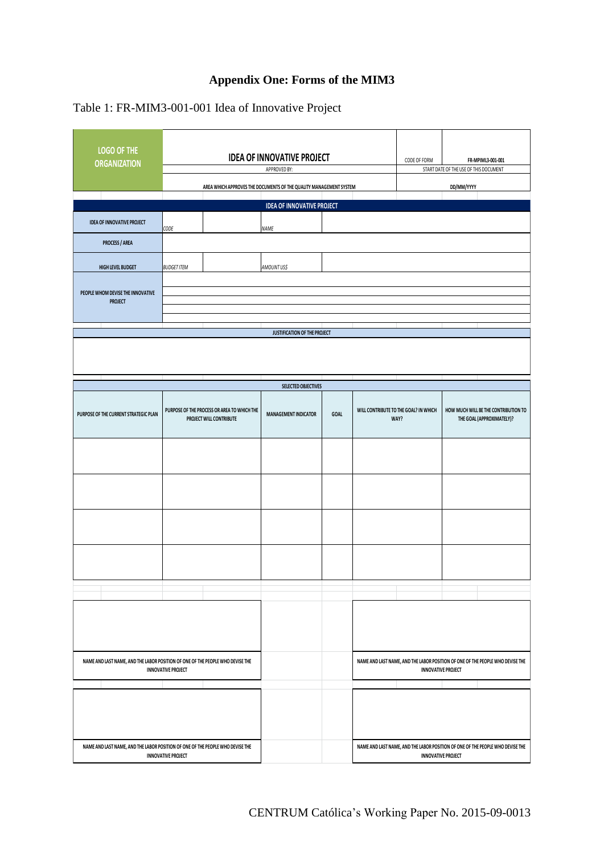### **Appendix One: Forms of the MIM3**

### Table 1: FR-MIM3-001-001 Idea of Innovative Project

| <b>LOGO OF THE</b>                                                             |                           |                                                                        |                                                                    |             |                                               |                                                                                |
|--------------------------------------------------------------------------------|---------------------------|------------------------------------------------------------------------|--------------------------------------------------------------------|-------------|-----------------------------------------------|--------------------------------------------------------------------------------|
| <b>ORGANIZATION</b>                                                            |                           |                                                                        | <b>IDEA OF INNOVATIVE PROJECT</b><br>APPROVED BY:                  |             | CODE OF FORM                                  | FR-MPIML3-001-001<br>START DATE OF THE USE OF THIS DOCUMENT                    |
|                                                                                |                           |                                                                        |                                                                    |             |                                               |                                                                                |
|                                                                                |                           |                                                                        | AREA WHICH APPROVES THE DOCUMENTS OF THE QUALITY MANAGEMENT SYSTEM |             |                                               | DD/MM/YYYY                                                                     |
|                                                                                |                           |                                                                        | <b>IDEA OF INNOVATIVE PROJECT</b>                                  |             |                                               |                                                                                |
| <b>IDEA OF INNOVATIVE PROJECT</b>                                              | CODE                      |                                                                        | NAME                                                               |             |                                               |                                                                                |
| <b>PROCESS / AREA</b>                                                          |                           |                                                                        |                                                                    |             |                                               |                                                                                |
| HIGH LEVEL BUDGET                                                              | <b>BUDGET ITEM</b>        |                                                                        | AMOUNTUS\$                                                         |             |                                               |                                                                                |
|                                                                                |                           |                                                                        |                                                                    |             |                                               |                                                                                |
| PEOPLE WHOM DEVISE THE INNOVATIVE                                              |                           |                                                                        |                                                                    |             |                                               |                                                                                |
| <b>PROJECT</b>                                                                 |                           |                                                                        |                                                                    |             |                                               |                                                                                |
|                                                                                |                           |                                                                        |                                                                    |             |                                               |                                                                                |
|                                                                                |                           |                                                                        | JUSTIFICATION OF THE PROJECT                                       |             |                                               |                                                                                |
|                                                                                |                           |                                                                        |                                                                    |             |                                               |                                                                                |
|                                                                                |                           |                                                                        |                                                                    |             |                                               |                                                                                |
|                                                                                |                           |                                                                        | SELECTED OBJECTIVES                                                |             |                                               |                                                                                |
|                                                                                |                           |                                                                        |                                                                    |             |                                               |                                                                                |
| PURPOSE OF THE CURRENT STRATEGIC PLAN                                          |                           | PURPOSE OF THE PROCESS OR AREA TO WHICH THE<br>PROJECT WILL CONTRIBUTE | <b>MANAGEMENT INDICATOR</b>                                        | <b>GOAL</b> | WILL CONTRIBUTE TO THE GOAL? IN WHICH<br>WAY? | HOW MUCH WILL BE THE CONTRIBUTION TO<br>THE GOAL (APPROXIMATELY)?              |
|                                                                                |                           |                                                                        |                                                                    |             |                                               |                                                                                |
|                                                                                |                           |                                                                        |                                                                    |             |                                               |                                                                                |
|                                                                                |                           |                                                                        |                                                                    |             |                                               |                                                                                |
|                                                                                |                           |                                                                        |                                                                    |             |                                               |                                                                                |
|                                                                                |                           |                                                                        |                                                                    |             |                                               |                                                                                |
|                                                                                |                           |                                                                        |                                                                    |             |                                               |                                                                                |
| NAME AND LAST NAME, AND THE LABOR POSITION OF ONE OF THE PEOPLE WHO DEVISE THE | <b>INNOVATIVE PROJECT</b> |                                                                        |                                                                    |             | <b>INNOVATIVE PROJECT</b>                     | NAME AND LAST NAME, AND THE LABOR POSITION OF ONE OF THE PEOPLE WHO DEVISE THE |
|                                                                                |                           |                                                                        |                                                                    |             |                                               |                                                                                |
|                                                                                |                           |                                                                        |                                                                    |             |                                               |                                                                                |
| NAME AND LAST NAME, AND THE LABOR POSITION OF ONE OF THE PEOPLE WHO DEVISE THE | <b>INNOVATIVE PROJECT</b> |                                                                        |                                                                    |             | <b>INNOVATIVE PROJECT</b>                     | NAME AND LAST NAME, AND THE LABOR POSITION OF ONE OF THE PEOPLE WHO DEVISE THE |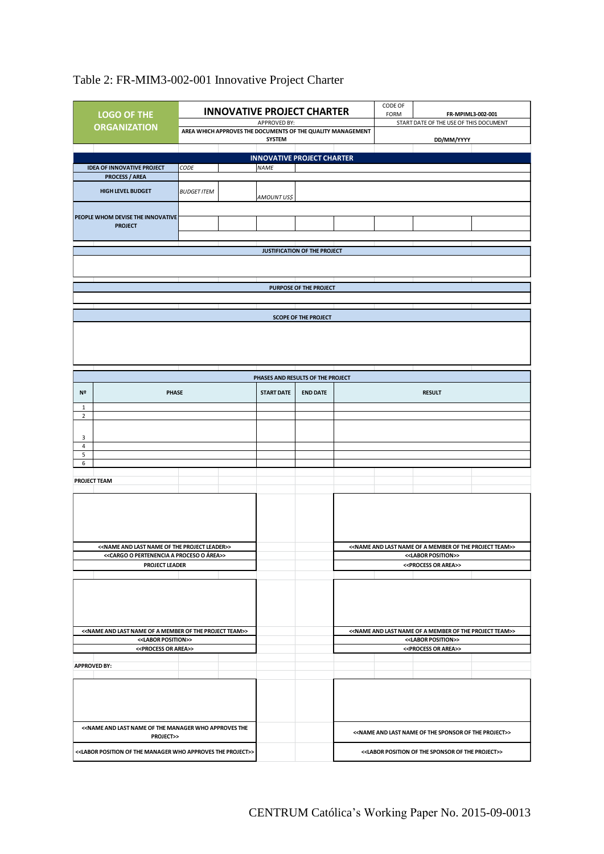|                | <b>LOGO OF THE</b>                                                                                                                                   |                    | <b>INNOVATIVE PROJECT CHARTER</b>                                            |                              | CODE OF<br><b>FORM</b>                                                        |                                                                                                                                   | FR-MPIML3-002-001 |  |  |  |
|----------------|------------------------------------------------------------------------------------------------------------------------------------------------------|--------------------|------------------------------------------------------------------------------|------------------------------|-------------------------------------------------------------------------------|-----------------------------------------------------------------------------------------------------------------------------------|-------------------|--|--|--|
|                | <b>ORGANIZATION</b>                                                                                                                                  |                    | <b>APPROVED BY:</b>                                                          |                              |                                                                               | START DATE OF THE USE OF THIS DOCUMENT                                                                                            |                   |  |  |  |
|                |                                                                                                                                                      |                    | AREA WHICH APPROVES THE DOCUMENTS OF THE QUALITY MANAGEMENT<br><b>SYSTEM</b> |                              |                                                                               | DD/MM/YYYY                                                                                                                        |                   |  |  |  |
|                |                                                                                                                                                      |                    |                                                                              |                              |                                                                               |                                                                                                                                   |                   |  |  |  |
|                |                                                                                                                                                      |                    | <b>INNOVATIVE PROJECT CHARTER</b>                                            |                              |                                                                               |                                                                                                                                   |                   |  |  |  |
|                | <b>IDEA OF INNOVATIVE PROJECT</b><br><b>PROCESS / AREA</b>                                                                                           | CODE               | <b>NAME</b>                                                                  |                              |                                                                               |                                                                                                                                   |                   |  |  |  |
|                |                                                                                                                                                      |                    |                                                                              |                              |                                                                               |                                                                                                                                   |                   |  |  |  |
|                | <b>HIGH LEVEL BUDGET</b>                                                                                                                             | <b>BUDGET ITEM</b> | AMOUNTUS\$                                                                   |                              |                                                                               |                                                                                                                                   |                   |  |  |  |
|                |                                                                                                                                                      |                    |                                                                              |                              |                                                                               |                                                                                                                                   |                   |  |  |  |
|                | PEOPLE WHOM DEVISE THE INNOVATIVE                                                                                                                    |                    |                                                                              |                              |                                                                               |                                                                                                                                   |                   |  |  |  |
|                | <b>PROJECT</b>                                                                                                                                       |                    |                                                                              |                              |                                                                               |                                                                                                                                   |                   |  |  |  |
|                |                                                                                                                                                      |                    |                                                                              |                              |                                                                               |                                                                                                                                   |                   |  |  |  |
|                |                                                                                                                                                      |                    |                                                                              | JUSTIFICATION OF THE PROJECT |                                                                               |                                                                                                                                   |                   |  |  |  |
|                |                                                                                                                                                      |                    |                                                                              |                              |                                                                               |                                                                                                                                   |                   |  |  |  |
|                |                                                                                                                                                      |                    |                                                                              |                              |                                                                               |                                                                                                                                   |                   |  |  |  |
|                |                                                                                                                                                      |                    |                                                                              | PURPOSE OF THE PROJECT       |                                                                               |                                                                                                                                   |                   |  |  |  |
|                |                                                                                                                                                      |                    |                                                                              |                              |                                                                               |                                                                                                                                   |                   |  |  |  |
|                |                                                                                                                                                      |                    |                                                                              | <b>SCOPE OF THE PROJECT</b>  |                                                                               |                                                                                                                                   |                   |  |  |  |
|                |                                                                                                                                                      |                    |                                                                              |                              |                                                                               |                                                                                                                                   |                   |  |  |  |
|                |                                                                                                                                                      |                    |                                                                              |                              |                                                                               |                                                                                                                                   |                   |  |  |  |
|                |                                                                                                                                                      |                    |                                                                              |                              |                                                                               |                                                                                                                                   |                   |  |  |  |
|                |                                                                                                                                                      |                    |                                                                              |                              |                                                                               |                                                                                                                                   |                   |  |  |  |
|                |                                                                                                                                                      |                    | PHASES AND RESULTS OF THE PROJECT                                            |                              |                                                                               |                                                                                                                                   |                   |  |  |  |
|                |                                                                                                                                                      |                    |                                                                              |                              |                                                                               |                                                                                                                                   |                   |  |  |  |
| Nº             | <b>PHASE</b>                                                                                                                                         |                    | <b>START DATE</b>                                                            | <b>END DATE</b>              |                                                                               | <b>RESULT</b>                                                                                                                     |                   |  |  |  |
| $1\,$          |                                                                                                                                                      |                    |                                                                              |                              |                                                                               |                                                                                                                                   |                   |  |  |  |
| $\overline{2}$ |                                                                                                                                                      |                    |                                                                              |                              |                                                                               |                                                                                                                                   |                   |  |  |  |
| 3              |                                                                                                                                                      |                    |                                                                              |                              |                                                                               |                                                                                                                                   |                   |  |  |  |
| $\overline{4}$ |                                                                                                                                                      |                    |                                                                              |                              |                                                                               |                                                                                                                                   |                   |  |  |  |
| 5              |                                                                                                                                                      |                    |                                                                              |                              |                                                                               |                                                                                                                                   |                   |  |  |  |
| 6              |                                                                                                                                                      |                    |                                                                              |                              |                                                                               |                                                                                                                                   |                   |  |  |  |
|                | <b>PROJECT TEAM</b>                                                                                                                                  |                    |                                                                              |                              |                                                                               |                                                                                                                                   |                   |  |  |  |
|                |                                                                                                                                                      |                    |                                                                              |                              |                                                                               |                                                                                                                                   |                   |  |  |  |
|                |                                                                                                                                                      |                    |                                                                              |                              |                                                                               |                                                                                                                                   |                   |  |  |  |
|                |                                                                                                                                                      |                    |                                                                              |                              |                                                                               |                                                                                                                                   |                   |  |  |  |
|                |                                                                                                                                                      |                    |                                                                              |                              |                                                                               |                                                                                                                                   |                   |  |  |  |
|                |                                                                                                                                                      |                    |                                                                              |                              |                                                                               |                                                                                                                                   |                   |  |  |  |
|                | < <name and="" last="" leader="" name="" of="" project="" the="">&gt;<br/>&lt;<cargo a="" o="" pertenencia="" proceso="" área="">&gt;</cargo></name> |                    |                                                                              |                              |                                                                               | < <name a="" and="" last="" member="" name="" of="" project="" team="" the="">&gt;<br/>&lt;<labor position="">&gt;</labor></name> |                   |  |  |  |
|                | <b>PROJECT LEADER</b>                                                                                                                                |                    |                                                                              |                              |                                                                               | < <process area="" or="">&gt;</process>                                                                                           |                   |  |  |  |
|                |                                                                                                                                                      |                    |                                                                              |                              |                                                                               |                                                                                                                                   |                   |  |  |  |
|                |                                                                                                                                                      |                    |                                                                              |                              |                                                                               |                                                                                                                                   |                   |  |  |  |
|                |                                                                                                                                                      |                    |                                                                              |                              |                                                                               |                                                                                                                                   |                   |  |  |  |
|                |                                                                                                                                                      |                    |                                                                              |                              |                                                                               |                                                                                                                                   |                   |  |  |  |
|                |                                                                                                                                                      |                    |                                                                              |                              |                                                                               |                                                                                                                                   |                   |  |  |  |
|                | < <name a="" and="" last="" member="" name="" of="" project="" team="" the="">&gt;<br/>&lt;<labor position="">&gt;</labor></name>                    |                    |                                                                              |                              |                                                                               | < <name a="" and="" last="" member="" name="" of="" project="" team="" the="">&gt;</name>                                         |                   |  |  |  |
|                | < <process area="" or="">&gt;</process>                                                                                                              |                    |                                                                              |                              |                                                                               | < <labor position="">&gt;<br/>&lt;<process area="" or="">&gt;</process></labor>                                                   |                   |  |  |  |
|                |                                                                                                                                                      |                    |                                                                              |                              |                                                                               |                                                                                                                                   |                   |  |  |  |
|                | <b>APPROVED BY:</b>                                                                                                                                  |                    |                                                                              |                              |                                                                               |                                                                                                                                   |                   |  |  |  |
|                |                                                                                                                                                      |                    |                                                                              |                              |                                                                               |                                                                                                                                   |                   |  |  |  |
|                |                                                                                                                                                      |                    |                                                                              |                              |                                                                               |                                                                                                                                   |                   |  |  |  |
|                |                                                                                                                                                      |                    |                                                                              |                              |                                                                               |                                                                                                                                   |                   |  |  |  |
|                |                                                                                                                                                      |                    |                                                                              |                              |                                                                               |                                                                                                                                   |                   |  |  |  |
|                | < <name and="" approves="" last="" manager="" name="" of="" the="" the<br="" who="">PROJECT&gt;&gt;</name>                                           |                    |                                                                              |                              | < <name and="" last="" name="" of="" project="" sponsor="" the="">&gt;</name> |                                                                                                                                   |                   |  |  |  |
|                | < <labor approves="" manager="" of="" position="" project="" the="" who="">&gt;</labor>                                                              |                    |                                                                              |                              | < <labor of="" position="" project="" sponsor="" the="">&gt;</labor>          |                                                                                                                                   |                   |  |  |  |

# Table 2: FR-MIM3-002-001 Innovative Project Charter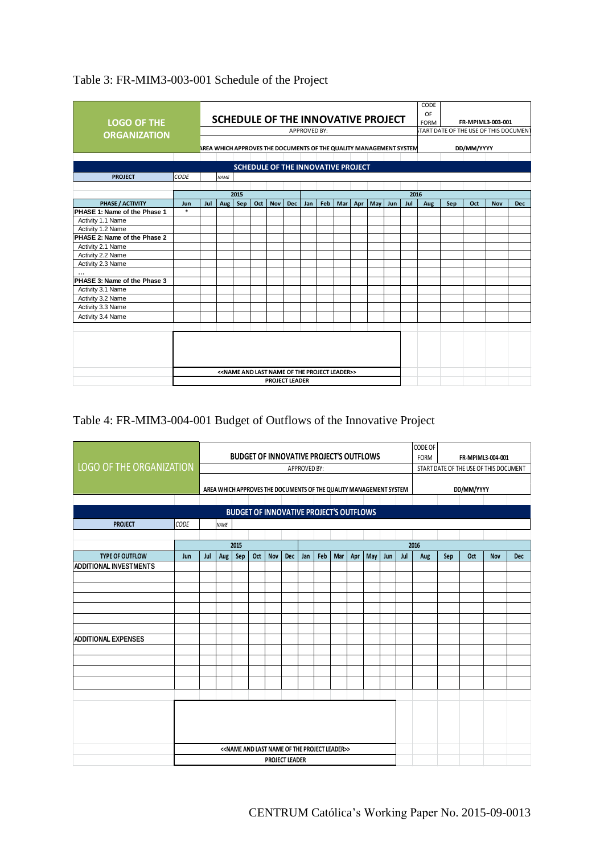| <b>LOGO OF THE</b><br><b>ORGANIZATION</b> |             |     | SCHEDULE OF THE INNOVATIVE PROJECT<br>AREA WHICH APPROVES THE DOCUMENTS OF THE QUALITY MANAGEMENT SYSTEM |                                                                              |     |                                           |            | <b>APPROVED BY:</b> |     |     |     |     |            |      | CODE<br>OF<br><b>FORM</b> |     | DD/MM/YYYY | FR-MPIML3-003-001<br><b>START DATE OF THE USE OF THIS DOCUMENT</b> |            |
|-------------------------------------------|-------------|-----|----------------------------------------------------------------------------------------------------------|------------------------------------------------------------------------------|-----|-------------------------------------------|------------|---------------------|-----|-----|-----|-----|------------|------|---------------------------|-----|------------|--------------------------------------------------------------------|------------|
|                                           |             |     |                                                                                                          |                                                                              |     | <b>SCHEDULE OF THE INNOVATIVE PROJECT</b> |            |                     |     |     |     |     |            |      |                           |     |            |                                                                    |            |
| <b>PROJECT</b>                            | <b>CODE</b> |     | <b>NAME</b>                                                                                              |                                                                              |     |                                           |            |                     |     |     |     |     |            |      |                           |     |            |                                                                    |            |
|                                           |             |     |                                                                                                          |                                                                              |     |                                           |            |                     |     |     |     |     |            |      |                           |     |            |                                                                    |            |
|                                           |             |     |                                                                                                          | 2015                                                                         |     |                                           |            |                     |     |     |     |     |            | 2016 |                           |     |            |                                                                    |            |
| PHASE / ACTIVITY                          | Jun         | Jul | Aug                                                                                                      | Sep                                                                          | Oct | <b>Nov</b>                                | <b>Dec</b> | Jan                 | Feb | Mar | Apr | May | <b>Jun</b> | Jul  | Aug                       | Sep | Oct        | <b>Nov</b>                                                         | <b>Dec</b> |
| PHASE 1: Name of the Phase 1              | $\ast$      |     |                                                                                                          |                                                                              |     |                                           |            |                     |     |     |     |     |            |      |                           |     |            |                                                                    |            |
| Activity 1.1 Name                         |             |     |                                                                                                          |                                                                              |     |                                           |            |                     |     |     |     |     |            |      |                           |     |            |                                                                    |            |
| Activity 1.2 Name                         |             |     |                                                                                                          |                                                                              |     |                                           |            |                     |     |     |     |     |            |      |                           |     |            |                                                                    |            |
| PHASE 2: Name of the Phase 2              |             |     |                                                                                                          |                                                                              |     |                                           |            |                     |     |     |     |     |            |      |                           |     |            |                                                                    |            |
| Activity 2.1 Name                         |             |     |                                                                                                          |                                                                              |     |                                           |            |                     |     |     |     |     |            |      |                           |     |            |                                                                    |            |
| Activity 2.2 Name                         |             |     |                                                                                                          |                                                                              |     |                                           |            |                     |     |     |     |     |            |      |                           |     |            |                                                                    |            |
| Activity 2.3 Name                         |             |     |                                                                                                          |                                                                              |     |                                           |            |                     |     |     |     |     |            |      |                           |     |            |                                                                    |            |
| $\cdots$                                  |             |     |                                                                                                          |                                                                              |     |                                           |            |                     |     |     |     |     |            |      |                           |     |            |                                                                    |            |
| PHASE 3: Name of the Phase 3              |             |     |                                                                                                          |                                                                              |     |                                           |            |                     |     |     |     |     |            |      |                           |     |            |                                                                    |            |
| Activity 3.1 Name                         |             |     |                                                                                                          |                                                                              |     |                                           |            |                     |     |     |     |     |            |      |                           |     |            |                                                                    |            |
| Activity 3.2 Name                         |             |     |                                                                                                          |                                                                              |     |                                           |            |                     |     |     |     |     |            |      |                           |     |            |                                                                    |            |
| Activity 3.3 Name                         |             |     |                                                                                                          |                                                                              |     |                                           |            |                     |     |     |     |     |            |      |                           |     |            |                                                                    |            |
| Activity 3.4 Name                         |             |     |                                                                                                          |                                                                              |     |                                           |            |                     |     |     |     |     |            |      |                           |     |            |                                                                    |            |
|                                           |             |     |                                                                                                          |                                                                              |     |                                           |            |                     |     |     |     |     |            |      |                           |     |            |                                                                    |            |
|                                           |             |     |                                                                                                          | < <name and="" last="" leader="" name="" of="" project="" the="">&gt;</name> |     | <b>PROJECT LEADER</b>                     |            |                     |     |     |     |     |            |      |                           |     |            |                                                                    |            |

### Table 3: FR-MIM3-003-001 Schedule of the Project

### Table 4: FR-MIM3-004-001 Budget of Outflows of the Innovative Project

|                                 |      |     |                                                                    |      |     |            |                                                                              |                     |     |     |     | <b>BUDGET OF INNOVATIVE PROJECT'S OUTFLOWS</b> |     |     | CODE OF<br><b>FORM</b> |     |            | FR-MPIML3-004-001                      |            |
|---------------------------------|------|-----|--------------------------------------------------------------------|------|-----|------------|------------------------------------------------------------------------------|---------------------|-----|-----|-----|------------------------------------------------|-----|-----|------------------------|-----|------------|----------------------------------------|------------|
| <b>LOGO OF THE ORGANIZATION</b> |      |     |                                                                    |      |     |            |                                                                              | <b>APPROVED BY:</b> |     |     |     |                                                |     |     |                        |     |            | START DATE OF THE USE OF THIS DOCUMENT |            |
|                                 |      |     | AREA WHICH APPROVES THE DOCUMENTS OF THE QUALITY MANAGEMENT SYSTEM |      |     |            |                                                                              |                     |     |     |     |                                                |     |     |                        |     | DD/MM/YYYY |                                        |            |
|                                 |      |     |                                                                    |      |     |            |                                                                              |                     |     |     |     |                                                |     |     |                        |     |            |                                        |            |
|                                 |      |     |                                                                    |      |     |            | <b>BUDGET OF INNOVATIVE PROJECT'S OUTFLOWS</b>                               |                     |     |     |     |                                                |     |     |                        |     |            |                                        |            |
| <b>PROJECT</b>                  | CODE |     | <b>NAME</b>                                                        |      |     |            |                                                                              |                     |     |     |     |                                                |     |     |                        |     |            |                                        |            |
|                                 |      |     |                                                                    |      |     |            |                                                                              |                     |     |     |     |                                                |     |     |                        |     |            |                                        |            |
|                                 |      |     |                                                                    | 2015 |     |            |                                                                              |                     |     |     |     |                                                |     |     | 2016                   |     |            |                                        |            |
| <b>TYPE OF OUTFLOW</b>          | Jun  | Jul | Aug                                                                | Sep  | Oct | <b>Nov</b> | <b>Dec</b>                                                                   | Jan                 | Feb | Mar | Apr | May                                            | Jun | Jul | Aug                    | Sep | Oct        | <b>Nov</b>                             | <b>Dec</b> |
| <b>ADDITIONAL INVESTMENTS</b>   |      |     |                                                                    |      |     |            |                                                                              |                     |     |     |     |                                                |     |     |                        |     |            |                                        |            |
|                                 |      |     |                                                                    |      |     |            |                                                                              |                     |     |     |     |                                                |     |     |                        |     |            |                                        |            |
|                                 |      |     |                                                                    |      |     |            |                                                                              |                     |     |     |     |                                                |     |     |                        |     |            |                                        |            |
|                                 |      |     |                                                                    |      |     |            |                                                                              |                     |     |     |     |                                                |     |     |                        |     |            |                                        |            |
|                                 |      |     |                                                                    |      |     |            |                                                                              |                     |     |     |     |                                                |     |     |                        |     |            |                                        |            |
|                                 |      |     |                                                                    |      |     |            |                                                                              |                     |     |     |     |                                                |     |     |                        |     |            |                                        |            |
| <b>ADDITIONAL EXPENSES</b>      |      |     |                                                                    |      |     |            |                                                                              |                     |     |     |     |                                                |     |     |                        |     |            |                                        |            |
|                                 |      |     |                                                                    |      |     |            |                                                                              |                     |     |     |     |                                                |     |     |                        |     |            |                                        |            |
|                                 |      |     |                                                                    |      |     |            |                                                                              |                     |     |     |     |                                                |     |     |                        |     |            |                                        |            |
|                                 |      |     |                                                                    |      |     |            |                                                                              |                     |     |     |     |                                                |     |     |                        |     |            |                                        |            |
|                                 |      |     |                                                                    |      |     |            |                                                                              |                     |     |     |     |                                                |     |     |                        |     |            |                                        |            |
|                                 |      |     |                                                                    |      |     |            |                                                                              |                     |     |     |     |                                                |     |     |                        |     |            |                                        |            |
|                                 |      |     |                                                                    |      |     |            |                                                                              |                     |     |     |     |                                                |     |     |                        |     |            |                                        |            |
|                                 |      |     |                                                                    |      |     |            |                                                                              |                     |     |     |     |                                                |     |     |                        |     |            |                                        |            |
|                                 |      |     |                                                                    |      |     |            |                                                                              |                     |     |     |     |                                                |     |     |                        |     |            |                                        |            |
|                                 |      |     |                                                                    |      |     |            |                                                                              |                     |     |     |     |                                                |     |     |                        |     |            |                                        |            |
|                                 |      |     |                                                                    |      |     |            | < <name and="" last="" leader="" name="" of="" project="" the="">&gt;</name> |                     |     |     |     |                                                |     |     |                        |     |            |                                        |            |
|                                 |      |     |                                                                    |      |     |            | <b>PROJECT LEADER</b>                                                        |                     |     |     |     |                                                |     |     |                        |     |            |                                        |            |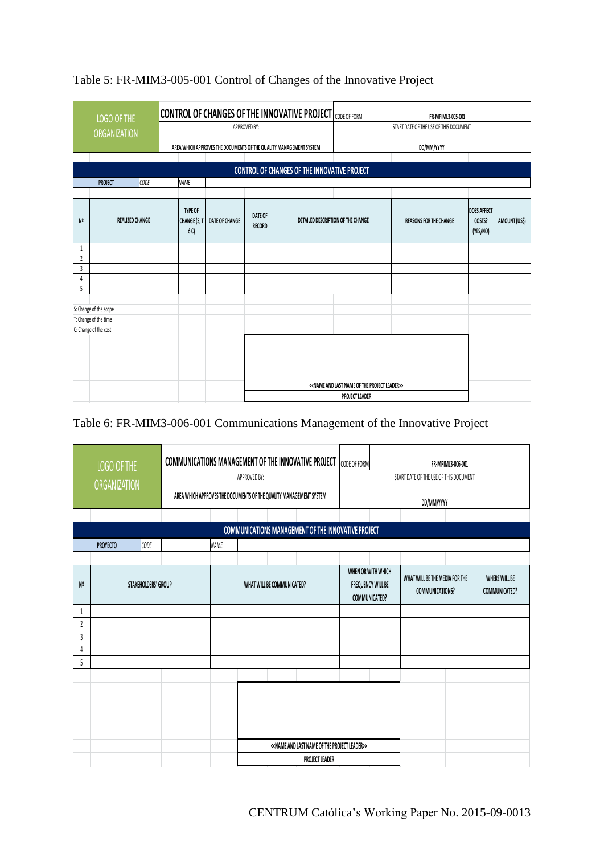|    | LOGO OF THE            |      |                                |                       |                                 | CONTROL OF CHANGES OF THE INNOVATIVE PROJECT CODE OF FORM          |                                                                              | FR-MPIML3-005-001                      |                                          |               |
|----|------------------------|------|--------------------------------|-----------------------|---------------------------------|--------------------------------------------------------------------|------------------------------------------------------------------------------|----------------------------------------|------------------------------------------|---------------|
|    | <b>ORGANIZATION</b>    |      |                                |                       | APPROVED BY:                    |                                                                    |                                                                              | START DATE OF THE USE OF THIS DOCUMENT |                                          |               |
|    |                        |      |                                |                       |                                 | AREA WHICH APPROVES THE DOCUMENTS OF THE QUALITY MANAGEMENT SYSTEM |                                                                              | DD/MM/YYYY                             |                                          |               |
|    |                        |      |                                |                       |                                 |                                                                    |                                                                              |                                        |                                          |               |
|    |                        |      |                                |                       |                                 | CONTROL OF CHANGES OF THE INNOVATIVE PROJECT                       |                                                                              |                                        |                                          |               |
|    | <b>PROJECT</b>         | CODE | <b>NAME</b>                    |                       |                                 |                                                                    |                                                                              |                                        |                                          |               |
|    |                        |      |                                |                       |                                 |                                                                    |                                                                              |                                        |                                          |               |
| Nº | <b>REALIZED CHANGE</b> |      | TYPE OF<br>CHANGE (S, T<br>óC) | <b>DATE OF CHANGE</b> | <b>DATE OF</b><br><b>RECORD</b> | DETAILED DESCRIPTION OF THE CHANGE                                 |                                                                              | <b>REASONS FOR THE CHANGE</b>          | <b>DOES AFFECT</b><br>COSTS?<br>(YES/NO) | AMOUNT (US\$) |
| 1  |                        |      |                                |                       |                                 |                                                                    |                                                                              |                                        |                                          |               |
| 2  |                        |      |                                |                       |                                 |                                                                    |                                                                              |                                        |                                          |               |
| 3  |                        |      |                                |                       |                                 |                                                                    |                                                                              |                                        |                                          |               |
| 4  |                        |      |                                |                       |                                 |                                                                    |                                                                              |                                        |                                          |               |
| 5  |                        |      |                                |                       |                                 |                                                                    |                                                                              |                                        |                                          |               |
|    | S: Change of the scope |      |                                |                       |                                 |                                                                    |                                                                              |                                        |                                          |               |
|    | T: Change of the time  |      |                                |                       |                                 |                                                                    |                                                                              |                                        |                                          |               |
|    | C: Change of the cost  |      |                                |                       |                                 |                                                                    |                                                                              |                                        |                                          |               |
|    |                        |      |                                |                       |                                 |                                                                    |                                                                              |                                        |                                          |               |
|    |                        |      |                                |                       |                                 |                                                                    | < <name and="" last="" leader="" name="" of="" project="" the="">&gt;</name> |                                        |                                          |               |
|    |                        |      |                                |                       |                                 |                                                                    | <b>PROJECT LEADER</b>                                                        |                                        |                                          |               |

### Table 5: FR-MIM3-005-001 Control of Changes of the Innovative Project

### Table 6: FR-MIM3-006-001 Communications Management of the Innovative Project

|    | LOGO OF THE         |                     | <b>COMMUNICATIONS MANAGEMENT OF THE INNOVATIVE PROJECT</b>         |             |                                                                              |                            |                                                            | <b>CODE OF FORM</b>                        |                   |                                                          | FR-MPIML3-006-001 |                                              |
|----|---------------------|---------------------|--------------------------------------------------------------------|-------------|------------------------------------------------------------------------------|----------------------------|------------------------------------------------------------|--------------------------------------------|-------------------|----------------------------------------------------------|-------------------|----------------------------------------------|
|    |                     |                     |                                                                    |             | APPROVED BY:                                                                 |                            |                                                            |                                            |                   | START DATE OF THE USE OF THIS DOCUMENT                   |                   |                                              |
|    | <b>ORGANIZATION</b> |                     | AREA WHICH APPROVES THE DOCUMENTS OF THE QUALITY MANAGEMENT SYSTEM |             |                                                                              |                            |                                                            |                                            |                   | DD/MM/YYYY                                               |                   |                                              |
|    |                     |                     |                                                                    |             |                                                                              |                            |                                                            |                                            |                   |                                                          |                   |                                              |
|    |                     |                     |                                                                    |             |                                                                              |                            | <b>COMMUNICATIONS MANAGEMENT OF THE INNOVATIVE PROJECT</b> |                                            |                   |                                                          |                   |                                              |
|    | <b>PROYECTO</b>     | <b>CODE</b>         |                                                                    | <b>NAME</b> |                                                                              |                            |                                                            |                                            |                   |                                                          |                   |                                              |
|    |                     |                     |                                                                    |             |                                                                              |                            |                                                            |                                            |                   |                                                          |                   |                                              |
| N° |                     | STAKEHOLDERS' GROUP |                                                                    |             |                                                                              | WHAT WILL BE COMMUNICATED? |                                                            | WHEN OR WITH WHICH<br><b>COMMUNICATED?</b> | FREQUENCY WILL BE | WHAT WILL BE THE MEDIA FOR THE<br><b>COMMUNICATIONS?</b> |                   | <b>WHERE WILL BE</b><br><b>COMMUNICATED?</b> |
| 1  |                     |                     |                                                                    |             |                                                                              |                            |                                                            |                                            |                   |                                                          |                   |                                              |
| 2  |                     |                     |                                                                    |             |                                                                              |                            |                                                            |                                            |                   |                                                          |                   |                                              |
| 3  |                     |                     |                                                                    |             |                                                                              |                            |                                                            |                                            |                   |                                                          |                   |                                              |
| 5  |                     |                     |                                                                    |             |                                                                              |                            |                                                            |                                            |                   |                                                          |                   |                                              |
|    |                     |                     |                                                                    |             |                                                                              |                            |                                                            |                                            |                   |                                                          |                   |                                              |
|    |                     |                     |                                                                    |             |                                                                              |                            |                                                            |                                            |                   |                                                          |                   |                                              |
|    |                     |                     |                                                                    |             |                                                                              |                            |                                                            |                                            |                   |                                                          |                   |                                              |
|    |                     |                     |                                                                    |             |                                                                              |                            |                                                            |                                            |                   |                                                          |                   |                                              |
|    |                     |                     |                                                                    |             |                                                                              |                            |                                                            |                                            |                   |                                                          |                   |                                              |
|    |                     |                     |                                                                    |             | < <name and="" last="" leader="" name="" of="" project="" the="">&gt;</name> |                            |                                                            |                                            |                   |                                                          |                   |                                              |
|    |                     |                     |                                                                    |             |                                                                              |                            | <b>PROJECT LEADER</b>                                      |                                            |                   |                                                          |                   |                                              |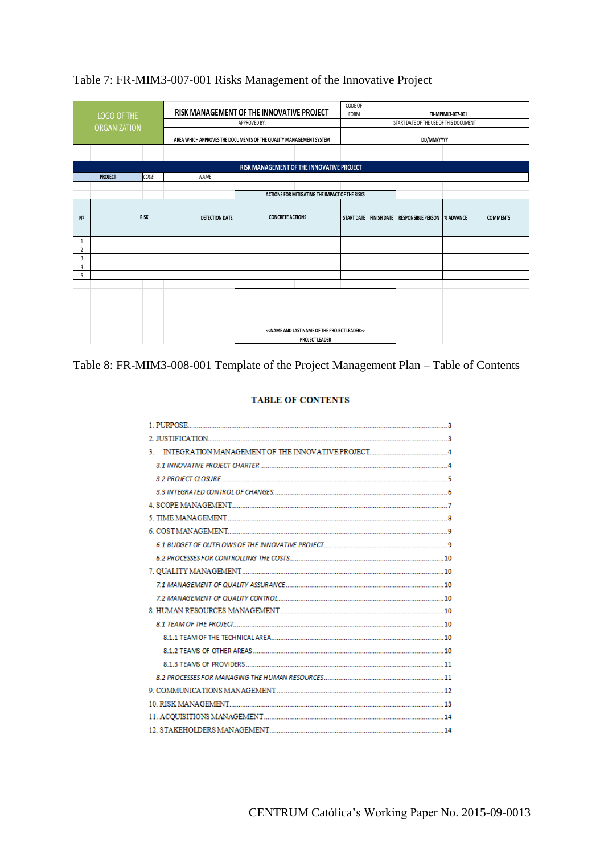|                | LOGO OF THE<br><b>ORGANIZATION</b> |             | RISK MANAGEMENT OF THE INNOVATIVE PROJECT<br>AREA WHICH APPROVES THE DOCUMENTS OF THE QUALITY MANAGEMENT SYSTEM | <b>APPROVED BY:</b>                                                          |                         |                                                | CODE OF<br>FORM | START DATE OF THE USE OF THIS DOCUMENT<br>DD/MM/YYYY      | FR-MPIML3-007-001 |                 |
|----------------|------------------------------------|-------------|-----------------------------------------------------------------------------------------------------------------|------------------------------------------------------------------------------|-------------------------|------------------------------------------------|-----------------|-----------------------------------------------------------|-------------------|-----------------|
|                |                                    |             |                                                                                                                 |                                                                              |                         | RISK MANAGEMENT OF THE INNOVATIVE PROJECT      |                 |                                                           |                   |                 |
|                | <b>PROJECT</b>                     | CODE        | <b>NAME</b>                                                                                                     |                                                                              |                         |                                                |                 |                                                           |                   |                 |
|                |                                    |             |                                                                                                                 |                                                                              |                         |                                                |                 |                                                           |                   |                 |
|                |                                    |             |                                                                                                                 |                                                                              |                         | ACTIONS FOR MITIGATING THE IMPACT OF THE RISKS |                 |                                                           |                   |                 |
| N <sup>2</sup> |                                    | <b>RISK</b> | <b>DETECTION DATE</b>                                                                                           |                                                                              | <b>CONCRETE ACTIONS</b> |                                                |                 | START DATE   FINISH DATE   RESPONSIBLE PERSON   % ADVANCE |                   | <b>COMMENTS</b> |
| 1              |                                    |             |                                                                                                                 |                                                                              |                         |                                                |                 |                                                           |                   |                 |
| $\overline{2}$ |                                    |             |                                                                                                                 |                                                                              |                         |                                                |                 |                                                           |                   |                 |
| 3              |                                    |             |                                                                                                                 |                                                                              |                         |                                                |                 |                                                           |                   |                 |
| 4<br>5         |                                    |             |                                                                                                                 |                                                                              |                         |                                                |                 |                                                           |                   |                 |
|                |                                    |             |                                                                                                                 |                                                                              |                         |                                                |                 |                                                           |                   |                 |
|                |                                    |             |                                                                                                                 |                                                                              |                         |                                                |                 |                                                           |                   |                 |
|                |                                    |             |                                                                                                                 | < <name and="" last="" leader="" name="" of="" project="" the="">&gt;</name> |                         |                                                |                 |                                                           |                   |                 |
|                |                                    |             |                                                                                                                 |                                                                              |                         | <b>PROJECT LEADER</b>                          |                 |                                                           |                   |                 |

### Table 7: FR-MIM3-007-001 Risks Management of the Innovative Project

Table 8: FR-MIM3-008-001 Template of the Project Management Plan – Table of Contents

#### **TABLE OF CONTENTS**

| INTEGRATION MANAGEMENT OF THE INNOVATIVE PROJECT A THE ASSESSMENT OF THE INNOVATIVE PROJECT<br>3. |
|---------------------------------------------------------------------------------------------------|
|                                                                                                   |
|                                                                                                   |
|                                                                                                   |
|                                                                                                   |
|                                                                                                   |
|                                                                                                   |
|                                                                                                   |
|                                                                                                   |
|                                                                                                   |
|                                                                                                   |
|                                                                                                   |
|                                                                                                   |
|                                                                                                   |
|                                                                                                   |
|                                                                                                   |
|                                                                                                   |
|                                                                                                   |
|                                                                                                   |
|                                                                                                   |
|                                                                                                   |
|                                                                                                   |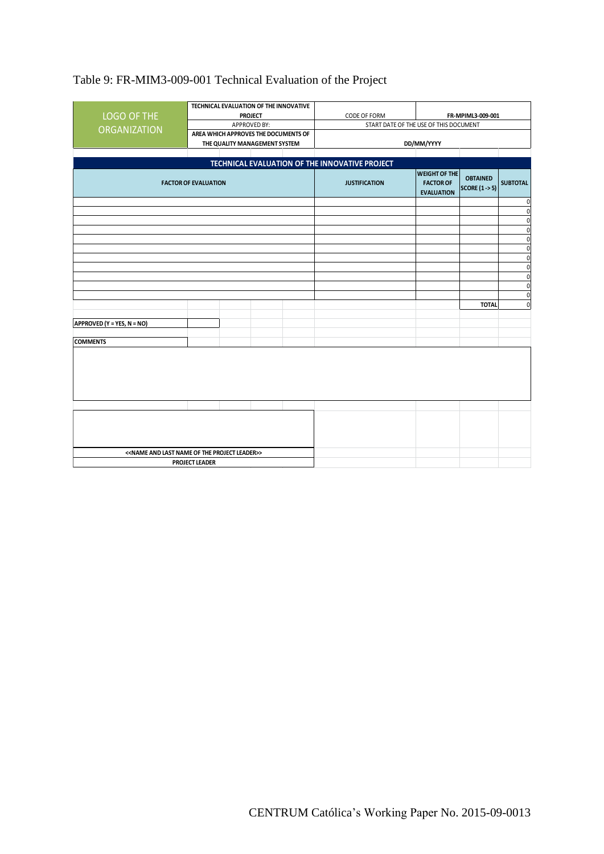# Table 9: FR-MIM3-009-001 Technical Evaluation of the Project

|                            | TECHNICAL EVALUATION OF THE INNOVATIVE        |  |                                                |                                                               |                                             |                 |
|----------------------------|-----------------------------------------------|--|------------------------------------------------|---------------------------------------------------------------|---------------------------------------------|-----------------|
|                            |                                               |  |                                                |                                                               |                                             |                 |
| LOGO OF THE                | <b>PROJECT</b>                                |  | CODE OF FORM                                   |                                                               | FR-MPIML3-009-001                           |                 |
| <b>ORGANIZATION</b>        | <b>APPROVED BY:</b>                           |  | START DATE OF THE USE OF THIS DOCUMENT         |                                                               |                                             |                 |
|                            | AREA WHICH APPROVES THE DOCUMENTS OF          |  |                                                |                                                               |                                             |                 |
|                            | THE QUALITY MANAGEMENT SYSTEM                 |  |                                                | DD/MM/YYYY                                                    |                                             |                 |
|                            |                                               |  |                                                |                                                               |                                             |                 |
|                            |                                               |  | TECHNICAL EVALUATION OF THE INNOVATIVE PROJECT |                                                               |                                             |                 |
|                            | <b>FACTOR OF EVALUATION</b>                   |  | <b>JUSTIFICATION</b>                           | <b>WEIGHT OF THE</b><br><b>FACTOR OF</b><br><b>EVALUATION</b> | <b>OBTAINED</b><br><b>SCORE (1 -&gt; 5)</b> | <b>SUBTOTAL</b> |
|                            |                                               |  |                                                |                                                               |                                             | $\mathbf 0$     |
|                            |                                               |  |                                                |                                                               |                                             | $\mathbf 0$     |
|                            |                                               |  |                                                |                                                               |                                             | $\bf 0$         |
|                            |                                               |  |                                                |                                                               |                                             | $\mathbf 0$     |
|                            |                                               |  |                                                |                                                               |                                             | $\mathbf 0$     |
|                            |                                               |  |                                                |                                                               |                                             | $\mathbf 0$     |
|                            |                                               |  |                                                |                                                               |                                             | $\mathbf 0$     |
|                            |                                               |  |                                                |                                                               |                                             | $\mathbf 0$     |
|                            |                                               |  |                                                |                                                               |                                             | $\mathbf 0$     |
|                            |                                               |  |                                                |                                                               |                                             | $\mathbf 0$     |
|                            |                                               |  |                                                |                                                               |                                             | $\mathbf 0$     |
|                            |                                               |  |                                                |                                                               | <b>TOTAL</b>                                | $\mathbf 0$     |
|                            |                                               |  |                                                |                                                               |                                             |                 |
| APPROVED (Y = YES, N = NO) |                                               |  |                                                |                                                               |                                             |                 |
|                            |                                               |  |                                                |                                                               |                                             |                 |
| <b>COMMENTS</b>            |                                               |  |                                                |                                                               |                                             |                 |
|                            |                                               |  |                                                |                                                               |                                             |                 |
|                            |                                               |  |                                                |                                                               |                                             |                 |
|                            |                                               |  |                                                |                                                               |                                             |                 |
|                            | << NAME AND LAST NAME OF THE PROJECT LEADER>> |  |                                                |                                                               |                                             |                 |
|                            | <b>PROJECT LEADER</b>                         |  |                                                |                                                               |                                             |                 |
|                            |                                               |  |                                                |                                                               |                                             |                 |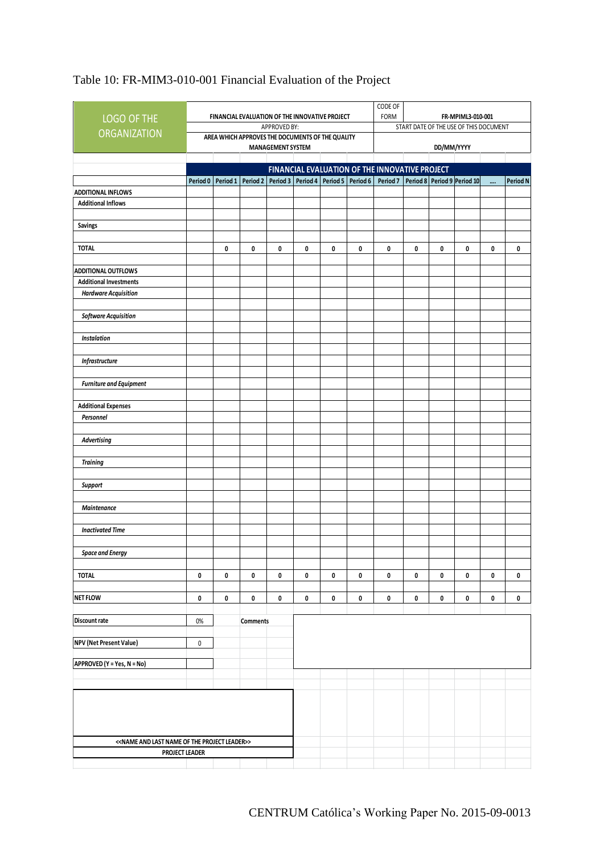|                                |       |                   |          | FINANCIAL EVALUATION OF THE INNOVATIVE PROJECT   |   |   |   | CODE OF<br>FORM                                                          |   |            | FR-MPIML3-010-001                      |   |                 |
|--------------------------------|-------|-------------------|----------|--------------------------------------------------|---|---|---|--------------------------------------------------------------------------|---|------------|----------------------------------------|---|-----------------|
| LOGO OF THE                    |       |                   |          | <b>APPROVED BY:</b>                              |   |   |   |                                                                          |   |            | START DATE OF THE USE OF THIS DOCUMENT |   |                 |
| <b>ORGANIZATION</b>            |       |                   |          | AREA WHICH APPROVES THE DOCUMENTS OF THE QUALITY |   |   |   |                                                                          |   |            |                                        |   |                 |
|                                |       |                   |          | <b>MANAGEMENT SYSTEM</b>                         |   |   |   |                                                                          |   | DD/MM/YYYY |                                        |   |                 |
|                                |       |                   |          |                                                  |   |   |   | FINANCIAL EVALUATION OF THE INNOVATIVE PROJECT                           |   |            |                                        |   |                 |
|                                |       | Period 0 Period 1 | Period 2 |                                                  |   |   |   | Period 3 Period 4 Period 5 Period 6 Period 7 Period 8 Period 9 Period 10 |   |            |                                        |   | <b>Period N</b> |
| <b>ADDITIONAL INFLOWS</b>      |       |                   |          |                                                  |   |   |   |                                                                          |   |            |                                        |   |                 |
| <b>Additional Inflows</b>      |       |                   |          |                                                  |   |   |   |                                                                          |   |            |                                        |   |                 |
|                                |       |                   |          |                                                  |   |   |   |                                                                          |   |            |                                        |   |                 |
| <b>Savings</b>                 |       |                   |          |                                                  |   |   |   |                                                                          |   |            |                                        |   |                 |
|                                |       |                   |          |                                                  |   |   |   |                                                                          |   |            |                                        |   |                 |
| <b>TOTAL</b>                   |       | 0                 | 0        | 0                                                | 0 | 0 | 0 | 0                                                                        | 0 | 0          | 0                                      | 0 | 0               |
|                                |       |                   |          |                                                  |   |   |   |                                                                          |   |            |                                        |   |                 |
| <b>ADDITIONAL OUTFLOWS</b>     |       |                   |          |                                                  |   |   |   |                                                                          |   |            |                                        |   |                 |
| <b>Additional Investments</b>  |       |                   |          |                                                  |   |   |   |                                                                          |   |            |                                        |   |                 |
| <b>Hardware Acquisition</b>    |       |                   |          |                                                  |   |   |   |                                                                          |   |            |                                        |   |                 |
|                                |       |                   |          |                                                  |   |   |   |                                                                          |   |            |                                        |   |                 |
| <b>Software Acquisition</b>    |       |                   |          |                                                  |   |   |   |                                                                          |   |            |                                        |   |                 |
|                                |       |                   |          |                                                  |   |   |   |                                                                          |   |            |                                        |   |                 |
| <b>Instalation</b>             |       |                   |          |                                                  |   |   |   |                                                                          |   |            |                                        |   |                 |
|                                |       |                   |          |                                                  |   |   |   |                                                                          |   |            |                                        |   |                 |
| Infrastructure                 |       |                   |          |                                                  |   |   |   |                                                                          |   |            |                                        |   |                 |
| <b>Furniture and Equipment</b> |       |                   |          |                                                  |   |   |   |                                                                          |   |            |                                        |   |                 |
|                                |       |                   |          |                                                  |   |   |   |                                                                          |   |            |                                        |   |                 |
| <b>Additional Expenses</b>     |       |                   |          |                                                  |   |   |   |                                                                          |   |            |                                        |   |                 |
| Personnel                      |       |                   |          |                                                  |   |   |   |                                                                          |   |            |                                        |   |                 |
|                                |       |                   |          |                                                  |   |   |   |                                                                          |   |            |                                        |   |                 |
| Advertising                    |       |                   |          |                                                  |   |   |   |                                                                          |   |            |                                        |   |                 |
|                                |       |                   |          |                                                  |   |   |   |                                                                          |   |            |                                        |   |                 |
| <b>Training</b>                |       |                   |          |                                                  |   |   |   |                                                                          |   |            |                                        |   |                 |
|                                |       |                   |          |                                                  |   |   |   |                                                                          |   |            |                                        |   |                 |
| Support                        |       |                   |          |                                                  |   |   |   |                                                                          |   |            |                                        |   |                 |
|                                |       |                   |          |                                                  |   |   |   |                                                                          |   |            |                                        |   |                 |
| Maintenance                    |       |                   |          |                                                  |   |   |   |                                                                          |   |            |                                        |   |                 |
|                                |       |                   |          |                                                  |   |   |   |                                                                          |   |            |                                        |   |                 |
| <b>Inactivated Time</b>        |       |                   |          |                                                  |   |   |   |                                                                          |   |            |                                        |   |                 |
|                                |       |                   |          |                                                  |   |   |   |                                                                          |   |            |                                        |   |                 |
| <b>Space and Energy</b>        |       |                   |          |                                                  |   |   |   |                                                                          |   |            |                                        |   |                 |
|                                |       |                   |          |                                                  |   |   |   |                                                                          |   |            |                                        |   |                 |
| <b>TOTAL</b>                   | 0     | $\pmb{0}$         | 0        | 0                                                | 0 | 0 | 0 | 0                                                                        | 0 | 0          | 0                                      | 0 | 0               |
| <b>NET FLOW</b>                | 0     | 0                 | 0        | 0                                                | 0 | 0 | 0 | 0                                                                        | 0 | 0          | 0                                      | 0 | 0               |
|                                |       |                   |          |                                                  |   |   |   |                                                                          |   |            |                                        |   |                 |
| Discount rate                  | $0\%$ |                   | Comments |                                                  |   |   |   |                                                                          |   |            |                                        |   |                 |
|                                |       |                   |          |                                                  |   |   |   |                                                                          |   |            |                                        |   |                 |
|                                |       |                   |          |                                                  |   |   |   |                                                                          |   |            |                                        |   |                 |
| NPV (Net Present Value)        |       |                   |          |                                                  |   |   |   |                                                                          |   |            |                                        |   |                 |
|                                | 0     |                   |          |                                                  |   |   |   |                                                                          |   |            |                                        |   |                 |
| APPROVED (Y = Yes, N = No)     |       |                   |          |                                                  |   |   |   |                                                                          |   |            |                                        |   |                 |

# Table 10: FR-MIM3-010-001 Financial Evaluation of the Project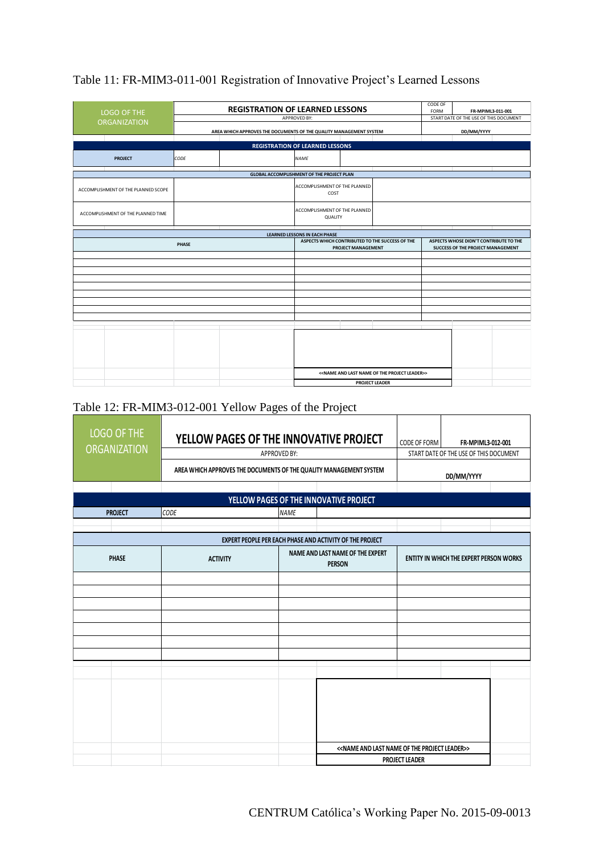|                                     |       | <b>REGISTRATION OF LEARNED LESSONS</b>                             |                                           |                    |                                                                              | CODE OF     |                                        |  |
|-------------------------------------|-------|--------------------------------------------------------------------|-------------------------------------------|--------------------|------------------------------------------------------------------------------|-------------|----------------------------------------|--|
| LOGO OF THE                         |       |                                                                    |                                           |                    |                                                                              | <b>FORM</b> | FR-MPIML3-011-001                      |  |
| <b>ORGANIZATION</b>                 |       |                                                                    | <b>APPROVED BY:</b>                       |                    |                                                                              |             | START DATE OF THE USE OF THIS DOCUMENT |  |
|                                     |       | AREA WHICH APPROVES THE DOCUMENTS OF THE QUALITY MANAGEMENT SYSTEM |                                           |                    |                                                                              |             | DD/MM/YYYY                             |  |
|                                     |       |                                                                    |                                           |                    |                                                                              |             |                                        |  |
|                                     |       |                                                                    | <b>REGISTRATION OF LEARNED LESSONS</b>    |                    |                                                                              |             |                                        |  |
| <b>PROJECT</b>                      | CODE  |                                                                    | <b>NAME</b>                               |                    |                                                                              |             |                                        |  |
|                                     |       |                                                                    | GLOBAL ACCOMPLISHMENT OF THE PROJECT PLAN |                    |                                                                              |             |                                        |  |
|                                     |       |                                                                    |                                           |                    |                                                                              |             |                                        |  |
| ACCOMPLISHMENT OF THE PLANNED SCOPE |       |                                                                    | ACCOMPLISHMENT OF THE PLANNED<br>COST     |                    |                                                                              |             |                                        |  |
| ACCOMPLISHMENT OF THE PLANNED TIME  |       |                                                                    | ACCOMPLISHMENT OF THE PLANNED<br>QUALITY  |                    |                                                                              |             |                                        |  |
|                                     |       |                                                                    |                                           |                    |                                                                              |             |                                        |  |
|                                     |       |                                                                    | <b>LEARNED LESSONS IN EACH PHASE</b>      |                    |                                                                              |             |                                        |  |
|                                     | PHASE |                                                                    |                                           |                    | ASPECTS WHICH CONTRIBUTED TO THE SUCCESS OF THE                              |             | ASPECTS WHOSE DIDN'T CONTRIBUTE TO THE |  |
|                                     |       |                                                                    |                                           | PROJECT MANAGEMENT |                                                                              |             | SUCCESS OF THE PROJECT MANAGEMENT      |  |
|                                     |       |                                                                    |                                           |                    |                                                                              |             |                                        |  |
|                                     |       |                                                                    |                                           |                    |                                                                              |             |                                        |  |
|                                     |       |                                                                    |                                           |                    |                                                                              |             |                                        |  |
|                                     |       |                                                                    |                                           |                    |                                                                              |             |                                        |  |
|                                     |       |                                                                    |                                           |                    |                                                                              |             |                                        |  |
|                                     |       |                                                                    |                                           |                    |                                                                              |             |                                        |  |
|                                     |       |                                                                    |                                           |                    |                                                                              |             |                                        |  |
|                                     |       |                                                                    |                                           |                    |                                                                              |             |                                        |  |
|                                     |       |                                                                    |                                           |                    |                                                                              |             |                                        |  |
|                                     |       |                                                                    |                                           |                    |                                                                              |             |                                        |  |
|                                     |       |                                                                    |                                           |                    |                                                                              |             |                                        |  |
|                                     |       |                                                                    |                                           |                    |                                                                              |             |                                        |  |
|                                     |       |                                                                    |                                           |                    |                                                                              |             |                                        |  |
|                                     |       |                                                                    |                                           |                    |                                                                              |             |                                        |  |
|                                     |       |                                                                    |                                           |                    |                                                                              |             |                                        |  |
|                                     |       |                                                                    |                                           |                    | < <name and="" last="" leader="" name="" of="" project="" the="">&gt;</name> |             |                                        |  |
|                                     |       |                                                                    |                                           |                    | <b>PROJECT LEADER</b>                                                        |             |                                        |  |

### Table 11: FR-MIM3-011-001 Registration of Innovative Project's Learned Lessons

# Table 12: FR-MIM3-012-001 Yellow Pages of the Project

| LOGO OF THE<br><b>ORGANIZATION</b> | YELLOW PAGES OF THE INNOVATIVE PROJECT<br>AREA WHICH APPROVES THE DOCUMENTS OF THE QUALITY MANAGEMENT SYSTEM | <b>APPROVED BY:</b> |                                                                              | CODE OF FORM          | FR-MPIML3-012-001<br>START DATE OF THE USE OF THIS DOCUMENT |  |
|------------------------------------|--------------------------------------------------------------------------------------------------------------|---------------------|------------------------------------------------------------------------------|-----------------------|-------------------------------------------------------------|--|
|                                    |                                                                                                              |                     |                                                                              |                       | DD/MM/YYYY                                                  |  |
|                                    |                                                                                                              |                     |                                                                              |                       |                                                             |  |
| <b>PROJECT</b>                     | CODE                                                                                                         | <b>NAME</b>         | YELLOW PAGES OF THE INNOVATIVE PROJECT                                       |                       |                                                             |  |
|                                    |                                                                                                              |                     |                                                                              |                       |                                                             |  |
|                                    |                                                                                                              |                     | EXPERT PEOPLE PER EACH PHASE AND ACTIVITY OF THE PROJECT                     |                       |                                                             |  |
| <b>PHASE</b>                       | <b>ACTIVITY</b>                                                                                              |                     | NAME AND LAST NAME OF THE EXPERT<br><b>PERSON</b>                            |                       | <b>ENTITY IN WHICH THE EXPERT PERSON WORKS</b>              |  |
|                                    |                                                                                                              |                     |                                                                              |                       |                                                             |  |
|                                    |                                                                                                              |                     |                                                                              |                       |                                                             |  |
|                                    |                                                                                                              |                     |                                                                              |                       |                                                             |  |
|                                    |                                                                                                              |                     |                                                                              |                       |                                                             |  |
|                                    |                                                                                                              |                     |                                                                              |                       |                                                             |  |
|                                    |                                                                                                              |                     |                                                                              |                       |                                                             |  |
|                                    |                                                                                                              |                     |                                                                              |                       |                                                             |  |
|                                    |                                                                                                              |                     |                                                                              |                       |                                                             |  |
|                                    |                                                                                                              |                     |                                                                              |                       |                                                             |  |
|                                    |                                                                                                              |                     |                                                                              |                       |                                                             |  |
|                                    |                                                                                                              |                     |                                                                              |                       |                                                             |  |
|                                    |                                                                                                              |                     |                                                                              |                       |                                                             |  |
|                                    |                                                                                                              |                     | < <name and="" last="" leader="" name="" of="" project="" the="">&gt;</name> |                       |                                                             |  |
|                                    |                                                                                                              |                     |                                                                              | <b>PROJECT LEADER</b> |                                                             |  |

 $\overline{\mathsf{T}}$ 

 $\top$ 

٦